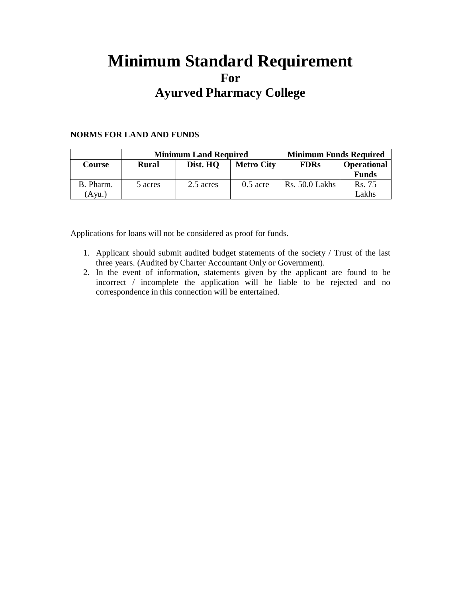# **Minimum Standard Requirement For Ayurved Pharmacy College**

#### **NORMS FOR LAND AND FUNDS**

|           | <b>Minimum Land Required</b> |                               |            | <b>Minimum Funds Required</b> |                    |
|-----------|------------------------------|-------------------------------|------------|-------------------------------|--------------------|
| Course    | Rural                        | Dist. HO<br><b>Metro City</b> |            | <b>FDRs</b>                   | <b>Operational</b> |
|           |                              |                               |            |                               | <b>Funds</b>       |
| B. Pharm. | 5 acres                      | 2.5 acres                     | $0.5$ acre | <b>Rs.</b> 50.0 Lakhs         | Rs. 75             |
| Avu.      |                              |                               |            |                               | Lakhs              |

Applications for loans will not be considered as proof for funds.

- 1. Applicant should submit audited budget statements of the society / Trust of the last three years. (Audited by Charter Accountant Only or Government).
- 2. In the event of information, statements given by the applicant are found to be incorrect / incomplete the application will be liable to be rejected and no correspondence in this connection will be entertained.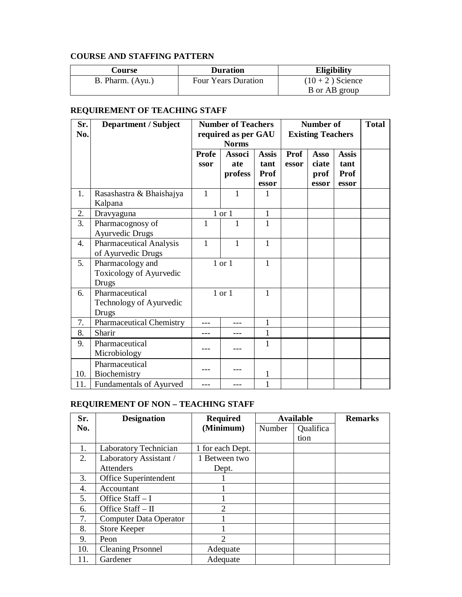#### **COURSE AND STAFFING PATTERN**

| Course           | <b>Duration</b>            | <b>Eligibility</b> |
|------------------|----------------------------|--------------------|
| B. Pharm. (Ayu.) | <b>Four Years Duration</b> | $(10 + 2)$ Science |
|                  |                            | B or AB group      |

#### **REQUIREMENT OF TEACHING STAFF**

| Sr.<br>No. | <b>Department / Subject</b>                          | <b>Number of Teachers</b><br>required as per GAU<br><b>Norms</b> |                                 | Number of<br><b>Existing Teachers</b> |               |                                | <b>Total</b>                                 |  |
|------------|------------------------------------------------------|------------------------------------------------------------------|---------------------------------|---------------------------------------|---------------|--------------------------------|----------------------------------------------|--|
|            |                                                      | Profe<br>ssor                                                    | <b>Associ</b><br>ate<br>profess | <b>Assis</b><br>tant<br>Prof<br>essor | Prof<br>essor | Asso<br>ciate<br>prof<br>essor | <b>Assis</b><br>tant<br><b>Prof</b><br>essor |  |
| 1.         | Rasashastra & Bhaishajya<br>Kalpana                  | $\mathbf{1}$                                                     | $\mathbf{1}$                    | 1                                     |               |                                |                                              |  |
| 2.         | Dravyaguna                                           |                                                                  | $1$ or $1$                      | $\mathbf{1}$                          |               |                                |                                              |  |
| 3.         | Pharmacognosy of<br><b>Ayurvedic Drugs</b>           | 1                                                                | 1                               | 1                                     |               |                                |                                              |  |
| 4.         | <b>Pharmaceutical Analysis</b><br>of Ayurvedic Drugs | 1                                                                | 1                               | 1                                     |               |                                |                                              |  |
| 5.         | Pharmacology and<br>Toxicology of Ayurvedic<br>Drugs |                                                                  | 1 or 1                          | 1                                     |               |                                |                                              |  |
| 6.         | Pharmaceutical<br>Technology of Ayurvedic<br>Drugs   |                                                                  | 1 or 1                          | 1                                     |               |                                |                                              |  |
| 7.         | <b>Pharmaceutical Chemistry</b>                      |                                                                  |                                 | 1                                     |               |                                |                                              |  |
| 8.         | Sharir                                               |                                                                  |                                 | 1                                     |               |                                |                                              |  |
| 9.         | Pharmaceutical<br>Microbiology                       |                                                                  |                                 | 1                                     |               |                                |                                              |  |
| 10.        | Pharmaceutical<br>Biochemistry                       |                                                                  |                                 | 1                                     |               |                                |                                              |  |
| 11.        | <b>Fundamentals of Ayurved</b>                       |                                                                  |                                 |                                       |               |                                |                                              |  |

## **REQUIREMENT OF NON – TEACHING STAFF**

| Sr. | <b>Designation</b>       | <b>Required</b>  | <b>Available</b> |           | <b>Remarks</b> |
|-----|--------------------------|------------------|------------------|-----------|----------------|
| No. |                          | (Minimum)        | Number           | Qualifica |                |
|     |                          |                  |                  | tion      |                |
| 1.  | Laboratory Technician    | 1 for each Dept. |                  |           |                |
| 2.  | Laboratory Assistant /   | 1 Between two    |                  |           |                |
|     | <b>Attenders</b>         | Dept.            |                  |           |                |
| 3.  | Office Superintendent    |                  |                  |           |                |
| 4.  | Accountant               |                  |                  |           |                |
| 5.  | Office $Start - I$       |                  |                  |           |                |
| 6.  | Office $Start - II$      | $\overline{2}$   |                  |           |                |
| 7.  | Computer Data Operator   |                  |                  |           |                |
| 8.  | Store Keeper             |                  |                  |           |                |
| 9.  | Peon                     | $\mathfrak{D}$   |                  |           |                |
| 10. | <b>Cleaning Prsonnel</b> | Adequate         |                  |           |                |
| 11. | Gardener                 | Adequate         |                  |           |                |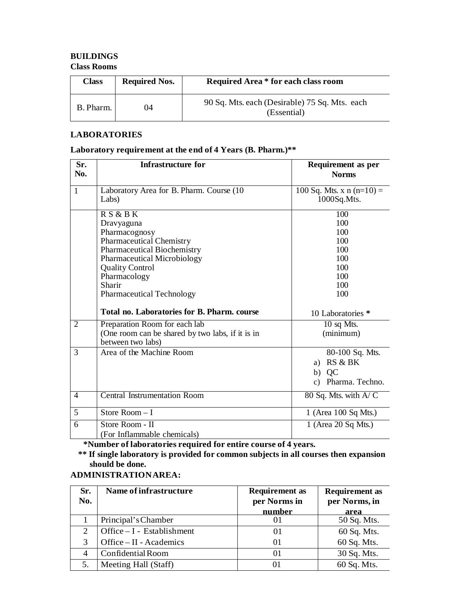#### **BUILDINGS**

#### **Class Rooms**

| <b>Class</b> | <b>Required Nos.</b> | <b>Required Area * for each class room</b>                   |
|--------------|----------------------|--------------------------------------------------------------|
| B. Pharm.    | 04                   | 90 Sq. Mts. each (Desirable) 75 Sq. Mts. each<br>(Essential) |

#### **LABORATORIES**

#### **Laboratory requirement at the end of 4 Years (B. Pharm.)\*\***

| Sr.<br>No.     | Infrastructure for                                                                                                                                                                                                                | <b>Requirement as per</b><br><b>Norms</b>                          |
|----------------|-----------------------------------------------------------------------------------------------------------------------------------------------------------------------------------------------------------------------------------|--------------------------------------------------------------------|
| $\mathbf{1}$   | Laboratory Area for B. Pharm. Course (10)<br>Labs)                                                                                                                                                                                | 100 Sq. Mts. x n $(n=10)$ =<br>1000Sq.Mts.                         |
|                | R S & B K<br>Dravyaguna<br>Pharmacognosy<br><b>Pharmaceutical Chemistry</b><br><b>Pharmaceutical Biochemistry</b><br>Pharmaceutical Microbiology<br><b>Quality Control</b><br>Pharmacology<br>Sharir<br>Pharmaceutical Technology | 100<br>100<br>100<br>100<br>100<br>100<br>100<br>100<br>100<br>100 |
|                | Total no. Laboratories for B. Pharm. course                                                                                                                                                                                       | 10 Laboratories *                                                  |
| $\overline{2}$ | Preparation Room for each lab<br>(One room can be shared by two labs, if it is in<br>between two labs)                                                                                                                            | 10 sq Mts.<br>(minimum)                                            |
| 3              | Area of the Machine Room                                                                                                                                                                                                          | 80-100 Sq. Mts.<br>a) RS & BK<br>QC<br>b)<br>c) Pharma. Techno.    |
| $\overline{4}$ | <b>Central Instrumentation Room</b>                                                                                                                                                                                               | 80 Sq. Mts. with $A/C$                                             |
| 5              | Store Room $-$ I                                                                                                                                                                                                                  | 1 (Area 100 Sq Mts.)                                               |
| 6              | Store Room - II<br>(For Inflammable chemicals)                                                                                                                                                                                    | 1 (Area 20 Sq Mts.)                                                |

**\*Number of laboratories required for entire course of 4 years.**

**\*\* If single laboratory is provided for common subjects in all courses then expansion should be done.**

#### **ADMINISTRATIONAREA:**

| Sr.<br>No. | Name of infrastructure       | <b>Requirement</b> as<br>per Norms in<br>number | <b>Requirement as</b><br>per Norms, in<br>area |
|------------|------------------------------|-------------------------------------------------|------------------------------------------------|
|            | Principal's Chamber          | 01                                              | 50 Sq. Mts.                                    |
| 2          | Office $- I$ - Establishment | 01                                              | 60 Sq. Mts.                                    |
| 3          | Office $-$ II - Academics    | 01                                              | 60 Sq. Mts.                                    |
| 4          | <b>Confidential Room</b>     | 01                                              | 30 Sq. Mts.                                    |
| 5.         | Meeting Hall (Staff)         | 01                                              | 60 Sq. Mts.                                    |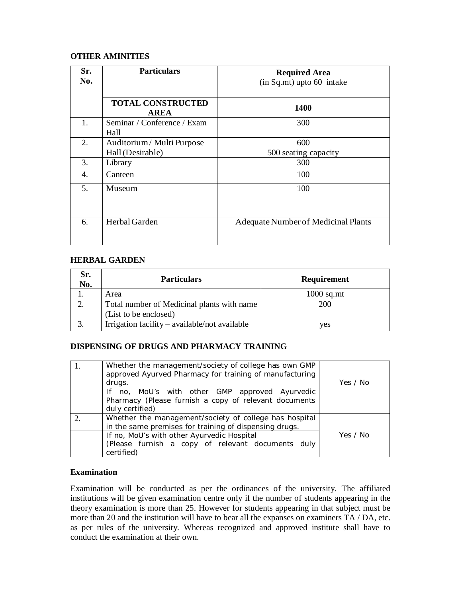#### **OTHER AMINITIES**

| Sr.<br>No. | <b>Particulars</b>                           | <b>Required Area</b><br>$(in Sq.mt)$ upto 60 intake |
|------------|----------------------------------------------|-----------------------------------------------------|
|            | <b>TOTAL CONSTRUCTED</b><br><b>AREA</b>      | <b>1400</b>                                         |
| 1.         | Seminar / Conference / Exam<br>Hall          | 300                                                 |
| 2.         | Auditorium/Multi Purpose<br>Hall (Desirable) | 600<br>500 seating capacity                         |
| 3.         | Library                                      | 300                                                 |
| 4.         | Canteen                                      | 100                                                 |
| 5.         | Museum                                       | 100                                                 |
| 6.         | Herbal Garden                                | <b>Adequate Number of Medicinal Plants</b>          |

#### **HERBAL GARDEN**

| Sr.<br>No. | <b>Particulars</b>                            | <b>Requirement</b> |
|------------|-----------------------------------------------|--------------------|
|            | Area                                          | $1000$ sq.mt       |
|            | Total number of Medicinal plants with name    | 200                |
|            | (List to be enclosed)                         |                    |
|            | Irrigation facility – available/not available | ves                |

#### **DISPENSING OF DRUGS AND PHARMACY TRAINING**

| Whether the management/society of college has own GMP<br>approved Ayurved Pharmacy for training of manufacturing<br>drugs.                                                                                                        | Yes / No |
|-----------------------------------------------------------------------------------------------------------------------------------------------------------------------------------------------------------------------------------|----------|
| If no, MoU's with other GMP approved Ayurvedic<br>Pharmacy (Please furnish a copy of relevant documents<br>duly certified)                                                                                                        |          |
| Whether the management/society of college has hospital<br>in the same premises for training of dispensing drugs.<br>If no, MoU's with other Ayurvedic Hospital<br>(Please furnish a copy of relevant documents duly<br>certified) | Yes / No |

#### **Examination**

Examination will be conducted as per the ordinances of the university. The affiliated institutions will be given examination centre only if the number of students appearing in the theory examination is more than 25. However for students appearing in that subject must be more than 20 and the institution will have to bear all the expanses on examiners TA / DA, etc. as per rules of the university. Whereas recognized and approved institute shall have to conduct the examination at their own.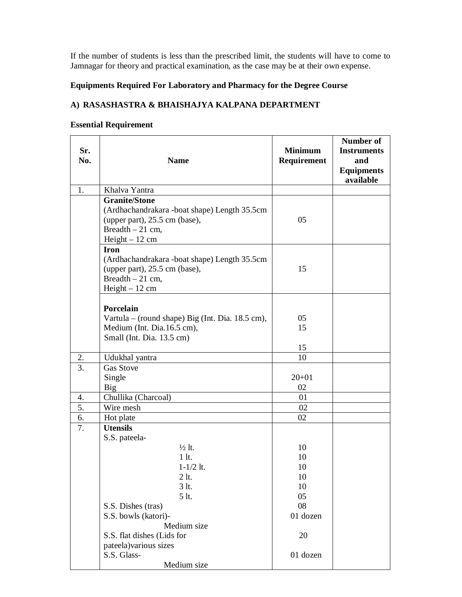If the number of students is less than the prescribed limit, the students will have to come to Jamnagar for theory and practical examination, as the case may be at their own expense.

#### **Equipments Required For Laboratory and Pharmacy for the Degree Course**

#### **A) RASASHASTRA & BHAISHAJYA KALPANA DEPARTMENT**

#### **Essential Requirement**

| Sr.<br>No.       | <b>Name</b>                                                                                                                                                                                                                                                       | <b>Minimum</b><br>Requirement                                        | <b>Number of</b><br><b>Instruments</b><br>and<br><b>Equipments</b><br>available |
|------------------|-------------------------------------------------------------------------------------------------------------------------------------------------------------------------------------------------------------------------------------------------------------------|----------------------------------------------------------------------|---------------------------------------------------------------------------------|
| 1.               | Khalva Yantra                                                                                                                                                                                                                                                     |                                                                      |                                                                                 |
|                  | <b>Granite/Stone</b><br>(Ardhachandrakara -boat shape) Length 35.5cm<br>(upper part), 25.5 cm (base),<br>Breadth $-21$ cm,<br>$Height - 12$ cm                                                                                                                    | 05                                                                   |                                                                                 |
|                  | <b>Iron</b><br>(Ardhachandrakara -boat shape) Length 35.5cm<br>(upper part), 25.5 cm (base),<br>Breadth $-21$ cm,<br>$Height - 12$ cm                                                                                                                             | 15                                                                   |                                                                                 |
|                  | Porcelain<br>Vartula – (round shape) Big (Int. Dia. 18.5 cm),<br>Medium (Int. Dia.16.5 cm),<br>Small (Int. Dia. 13.5 cm)                                                                                                                                          | 05<br>15<br>15                                                       |                                                                                 |
| 2.               | Udukhal yantra                                                                                                                                                                                                                                                    | 10                                                                   |                                                                                 |
| 3.               | <b>Gas Stove</b><br>Single<br>Big                                                                                                                                                                                                                                 | $20 + 01$<br>02                                                      |                                                                                 |
| 4.               | Chullika (Charcoal)                                                                                                                                                                                                                                               | 01                                                                   |                                                                                 |
| $\overline{5}$ . | Wire mesh                                                                                                                                                                                                                                                         | 02                                                                   |                                                                                 |
| 6.               | Hot plate                                                                                                                                                                                                                                                         | 02                                                                   |                                                                                 |
| 7.               | <b>Utensils</b><br>S.S. pateela-<br>$\frac{1}{2}$ lt.<br>$1$ lt.<br>$1 - 1/2$ lt.<br>$2$ lt.<br>3 lt.<br>5 lt.<br>S.S. Dishes (tras)<br>S.S. bowls (katori)-<br>Medium size<br>S.S. flat dishes (Lids for<br>pateela) various sizes<br>S.S. Glass-<br>Medium size | 10<br>10<br>10<br>10<br>10<br>05<br>08<br>01 dozen<br>20<br>01 dozen |                                                                                 |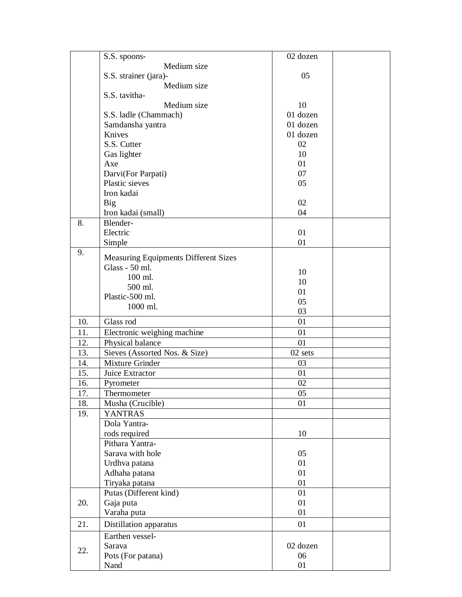|     | S.S. spoons-                                | 02 dozen |  |
|-----|---------------------------------------------|----------|--|
|     | Medium size                                 |          |  |
|     | S.S. strainer (jara)-                       | 05       |  |
|     | Medium size                                 |          |  |
|     | S.S. tavitha-                               |          |  |
|     | Medium size                                 | 10       |  |
|     | S.S. ladle (Chammach)                       | 01 dozen |  |
|     | Samdansha yantra                            | 01 dozen |  |
|     | Knives                                      | 01 dozen |  |
|     |                                             | 02       |  |
|     | S.S. Cutter                                 |          |  |
|     | Gas lighter                                 | 10       |  |
|     | Axe                                         | 01       |  |
|     | Darvi(For Parpati)                          | 07       |  |
|     | Plastic sieves                              | 05       |  |
|     | Iron kadai                                  |          |  |
|     | <b>Big</b>                                  | 02       |  |
|     | Iron kadai (small)                          | 04       |  |
| 8.  | Blender-                                    |          |  |
|     | Electric                                    | 01       |  |
|     | Simple                                      | 01       |  |
| 9.  |                                             |          |  |
|     | <b>Measuring Equipments Different Sizes</b> |          |  |
|     | Glass - 50 ml.                              | 10       |  |
|     | 100 ml.                                     | 10       |  |
|     | 500 ml.                                     | 01       |  |
|     | Plastic-500 ml.                             |          |  |
|     | 1000 ml.                                    | 05       |  |
|     |                                             | 03       |  |
| 10. | Glass rod                                   | 01       |  |
| 11. | Electronic weighing machine                 | 01       |  |
| 12. | Physical balance                            | 01       |  |
| 13. | Sieves (Assorted Nos. & Size)               | 02 sets  |  |
| 14. | Mixture Grinder                             | 03       |  |
| 15. | Juice Extractor                             | 01       |  |
| 16. | Pyrometer                                   | 02       |  |
| 17. | Thermometer                                 | 05       |  |
| 18. | Musha (Crucible)                            | 01       |  |
| 19. | <b>YANTRAS</b>                              |          |  |
|     | Dola Yantra-                                |          |  |
|     |                                             | 10       |  |
|     | rods required                               |          |  |
|     | Pithara Yantra-                             |          |  |
|     | Sarava with hole                            | 05       |  |
|     | Urdhva patana                               | 01       |  |
|     | Adhaha patana                               | 01       |  |
|     | Tiryaka patana                              | 01       |  |
|     | Putas (Different kind)                      | 01       |  |
| 20. | Gaja puta                                   | 01       |  |
|     | Varaha puta                                 | 01       |  |
| 21. | Distillation apparatus                      | 01       |  |
|     | Earthen vessel-                             |          |  |
|     |                                             |          |  |
| 22. | Sarava                                      | 02 dozen |  |
|     | Pots (For patana)                           | 06       |  |
|     | Nand                                        | 01       |  |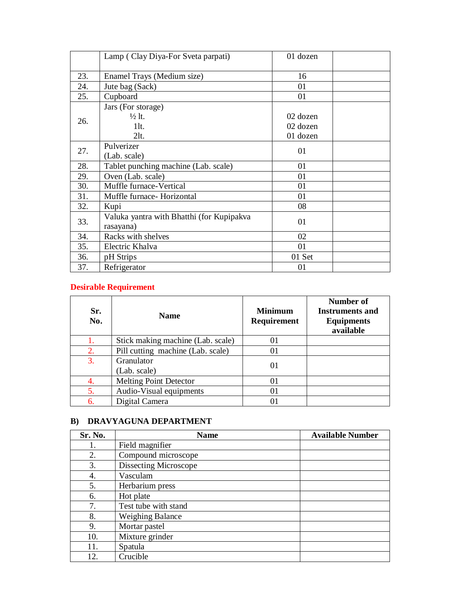|     | Lamp (Clay Diya-For Sveta parpati)        | 01 dozen |  |
|-----|-------------------------------------------|----------|--|
|     |                                           |          |  |
| 23. | Enamel Trays (Medium size)                | 16       |  |
| 24. | Jute bag (Sack)                           | 01       |  |
| 25. | Cupboard                                  | 01       |  |
|     | Jars (For storage)                        |          |  |
| 26. | $\frac{1}{2}$ lt.                         | 02 dozen |  |
|     | $1$ lt.                                   | 02 dozen |  |
|     | 2lt.                                      | 01 dozen |  |
|     | Pulverizer                                |          |  |
| 27. | (Lab. scale)                              | 01       |  |
| 28. | Tablet punching machine (Lab. scale)      | 01       |  |
| 29. | Oven (Lab. scale)                         | 01       |  |
| 30. | Muffle furnace-Vertical                   | 01       |  |
| 31. | Muffle furnace- Horizontal                | 01       |  |
| 32. | Kupi                                      | 08       |  |
|     | Valuka yantra with Bhatthi (for Kupipakva |          |  |
| 33. | rasayana)                                 | 01       |  |
| 34. | Racks with shelves                        | 02       |  |
| 35. | Electric Khalva                           | 01       |  |
| 36. | pH Strips                                 | 01 Set   |  |
| 37. | Refrigerator                              | 01       |  |

## **Desirable Requirement**

| Sr.<br>No. | <b>Name</b>                       | <b>Minimum</b><br><b>Requirement</b> | Number of<br><b>Instruments and</b><br><b>Equipments</b><br>available |
|------------|-----------------------------------|--------------------------------------|-----------------------------------------------------------------------|
| 1.         | Stick making machine (Lab. scale) | 01                                   |                                                                       |
| 2.         | Pill cutting machine (Lab. scale) | 01                                   |                                                                       |
| 3.         | Granulator<br>(Lab. scale)        | 01                                   |                                                                       |
| 4.         | <b>Melting Point Detector</b>     | 01                                   |                                                                       |
| 5.         | Audio-Visual equipments           | 01                                   |                                                                       |
| 6.         | Digital Camera                    |                                      |                                                                       |

#### **B) DRAVYAGUNA DEPARTMENT**

| Sr. No. | <b>Name</b>             | <b>Available Number</b> |
|---------|-------------------------|-------------------------|
| 1.      | Field magnifier         |                         |
| 2.      | Compound microscope     |                         |
| 3.      | Dissecting Microscope   |                         |
| 4.      | Vasculam                |                         |
| 5.      | Herbarium press         |                         |
| 6.      | Hot plate               |                         |
| 7.      | Test tube with stand    |                         |
| 8.      | <b>Weighing Balance</b> |                         |
| 9.      | Mortar pastel           |                         |
| 10.     | Mixture grinder         |                         |
| 11.     | Spatula                 |                         |
| 12.     | Crucible                |                         |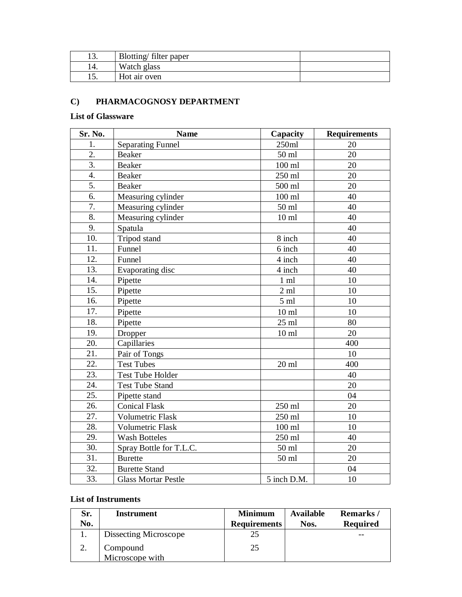| ⊥ ຸ | Blotting filter paper |  |
|-----|-----------------------|--|
|     | Watch glass           |  |
|     | Hot air oven          |  |

## **C) PHARMACOGNOSY DEPARTMENT**

#### **List of Glassware**

| Sr. No. | <b>Name</b>                | Capacity         | <b>Requirements</b> |
|---------|----------------------------|------------------|---------------------|
| 1.      | <b>Separating Funnel</b>   | 250ml            | 20                  |
| 2.      | <b>Beaker</b>              | 50 ml            | 20                  |
| 3.      | <b>Beaker</b>              | $100$ ml         | 20                  |
| 4.      | Beaker                     | 250 ml           | 20                  |
| 5.      | Beaker                     | 500 ml           | 20                  |
| 6.      | Measuring cylinder         | $100$ ml         | 40                  |
| 7.      | Measuring cylinder         | $50 \mathrm{m}$  | 40                  |
| 8.      | Measuring cylinder         | 10 <sub>ml</sub> | 40                  |
| 9.      | Spatula                    |                  | 40                  |
| 10.     | Tripod stand               | 8 inch           | 40                  |
| 11.     | Funnel                     | 6 inch           | 40                  |
| 12.     | Funnel                     | 4 inch           | 40                  |
| 13.     | Evaporating disc           | 4 inch           | 40                  |
| 14.     | Pipette                    | $1 \text{ ml}$   | 10                  |
| 15.     | Pipette                    | $2 \text{ ml}$   | 10                  |
| 16.     | Pipette                    | $5 \text{ ml}$   | 10                  |
| 17.     | Pipette                    | 10 <sub>ml</sub> | 10                  |
| 18.     | Pipette                    | $25$ ml          | 80                  |
| 19.     | Dropper                    | 10 <sub>ml</sub> | 20                  |
| 20.     | Capillaries                |                  | 400                 |
| 21.     | Pair of Tongs              |                  | 10                  |
| 22.     | <b>Test Tubes</b>          | $20$ ml          | 400                 |
| 23.     | <b>Test Tube Holder</b>    |                  | 40                  |
| 24.     | <b>Test Tube Stand</b>     |                  | 20                  |
| 25.     | Pipette stand              |                  | 04                  |
| 26.     | <b>Conical Flask</b>       | 250 ml           | 20                  |
| 27.     | <b>Volumetric Flask</b>    | 250 ml           | 10                  |
| 28.     | <b>Volumetric Flask</b>    | $100$ ml         | 10                  |
| 29.     | <b>Wash Botteles</b>       | 250 ml           | 40                  |
| 30.     | Spray Bottle for T.L.C.    | 50 ml            | 20                  |
| 31.     | <b>Burette</b>             | 50 ml            | 20                  |
| 32.     | <b>Burette Stand</b>       |                  | 04                  |
| 33.     | <b>Glass Mortar Pestle</b> | 5 inch D.M.      | 10                  |

#### **List of Instruments**

| Sr. | Instrument            | <b>Minimum</b>      | Available | Remarks/        |
|-----|-----------------------|---------------------|-----------|-----------------|
| No. |                       | <b>Requirements</b> | Nos.      | <b>Required</b> |
|     | Dissecting Microscope |                     |           | --              |
|     | Compound              | 25                  |           |                 |
|     | Microscope with       |                     |           |                 |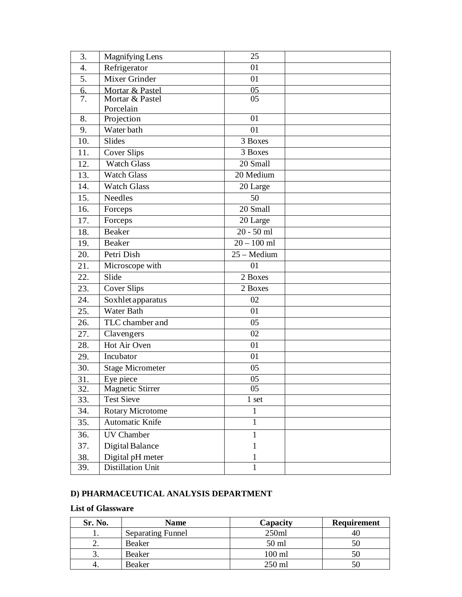| 3.        | <b>Magnifying Lens</b>  | 25                 |  |
|-----------|-------------------------|--------------------|--|
| 4.        | Refrigerator            | 01                 |  |
| 5.        | Mixer Grinder           | 01                 |  |
| 6.        | Mortar & Pastel         | 05                 |  |
| 7.        | Mortar & Pastel         | 05                 |  |
|           | Porcelain               | 01                 |  |
| 8.        | Projection              |                    |  |
| 9.<br>10. | Water bath<br>Slides    | 01                 |  |
|           |                         | 3 Boxes<br>3 Boxes |  |
| 11.       | <b>Cover Slips</b>      |                    |  |
| 12.       | <b>Watch Glass</b>      | 20 Small           |  |
| 13.       | <b>Watch Glass</b>      | 20 Medium          |  |
| 14.       | <b>Watch Glass</b>      | 20 Large           |  |
| 15.       | Needles                 | 50                 |  |
| 16.       | Forceps                 | 20 Small           |  |
| 17.       | Forceps                 | 20 Large           |  |
| 18.       | <b>Beaker</b>           | $20 - 50$ ml       |  |
| 19.       | <b>Beaker</b>           | $20 - 100$ ml      |  |
| 20.       | Petri Dish              | 25 - Medium        |  |
| 21.       | Microscope with         | 01                 |  |
| 22.       | Slide                   | 2 Boxes            |  |
| 23.       | Cover Slips             | 2 Boxes            |  |
| 24.       | Soxhlet apparatus       | 02                 |  |
| 25.       | Water Bath              | 01                 |  |
| 26.       | TLC chamber and         | 05                 |  |
| 27.       | Clavengers              | 02                 |  |
| 28.       | Hot Air Oven            | 01                 |  |
| 29.       | Incubator               | 01                 |  |
| 30.       | <b>Stage Micrometer</b> | 05                 |  |
| 31.       | Eye piece               | 05                 |  |
| 32.       | <b>Magnetic Stirrer</b> | 05                 |  |
| 33.       | <b>Test Sieve</b>       | 1 set              |  |
| 34.       | <b>Rotary Microtome</b> | 1                  |  |
| 35.       | Automatic Knife         | $\mathbf{1}$       |  |
| 36.       | <b>UV Chamber</b>       | 1                  |  |
| 37.       | Digital Balance         | 1                  |  |
| 38.       | Digital pH meter        | 1                  |  |
| 39.       | Distillation Unit       | 1                  |  |

#### **D) PHARMACEUTICAL ANALYSIS DEPARTMENT**

#### **List of Glassware**

| Sr. No.  | <b>Name</b>              | Capacity | <b>Requirement</b> |
|----------|--------------------------|----------|--------------------|
|          | <b>Separating Funnel</b> | 250ml    | 40                 |
| <u>.</u> | Beaker                   | 50 ml    |                    |
| J.       | Beaker                   | $100$ ml |                    |
|          | Beaker                   | $250$ ml |                    |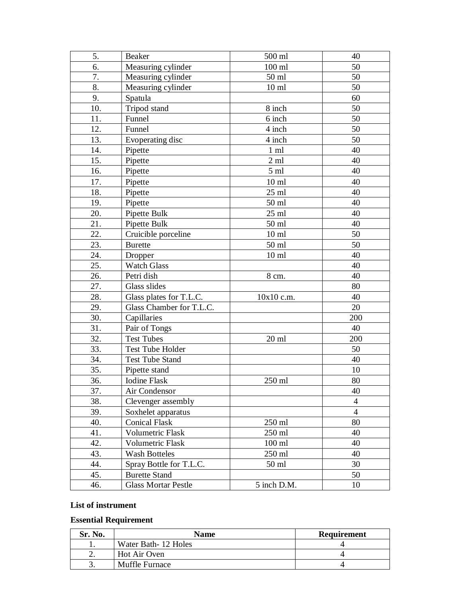| 5.  | Beaker                     | 500 ml          | 40             |
|-----|----------------------------|-----------------|----------------|
| 6.  | Measuring cylinder         | $100$ ml        | 50             |
| 7.  | Measuring cylinder         | 50 ml           | 50             |
| 8.  | Measuring cylinder         | $10 \text{ ml}$ | 50             |
| 9.  | Spatula                    |                 | 60             |
| 10. | Tripod stand               | 8 inch          | 50             |
| 11. | Funnel                     | 6 inch          | 50             |
| 12. | Funnel                     | 4 inch          | 50             |
| 13. | Evoperating disc           | 4 inch          | 50             |
| 14. | Pipette                    | $1 \text{ ml}$  | 40             |
| 15. | Pipette                    | $2 \text{ ml}$  | 40             |
| 16. | Pipette                    | $5 \mathrm{ml}$ | 40             |
| 17. | Pipette                    | $10 \text{ ml}$ | 40             |
| 18. | Pipette                    | $25$ ml         | 40             |
| 19. | Pipette                    | 50 ml           | 40             |
| 20. | Pipette Bulk               | $25$ ml         | 40             |
| 21. | Pipette Bulk               | 50 ml           | 40             |
| 22. | Cruicible porceline        | $10 \text{ ml}$ | 50             |
| 23. | <b>Burette</b>             | 50 ml           | 50             |
| 24. | Dropper                    | $10 \text{ ml}$ | 40             |
| 25. | <b>Watch Glass</b>         |                 | 40             |
| 26. | Petri dish                 | 8 cm.           | 40             |
| 27. | Glass slides               |                 | 80             |
| 28. | Glass plates for T.L.C.    | 10x10 c.m.      | 40             |
| 29. | Glass Chamber for T.L.C.   |                 | 20             |
| 30. | Capillaries                |                 | 200            |
| 31. | Pair of Tongs              |                 | 40             |
| 32. | <b>Test Tubes</b>          | $20 \text{ ml}$ | 200            |
| 33. | <b>Test Tube Holder</b>    |                 | 50             |
| 34. | <b>Test Tube Stand</b>     |                 | 40             |
| 35. | Pipette stand              |                 | 10             |
| 36. | <b>Iodine Flask</b>        | 250 ml          | 80             |
| 37. | Air Condensor              |                 | 40             |
| 38. | Clevenger assembly         |                 | $\overline{4}$ |
| 39. | Soxhelet apparatus         |                 | $\overline{4}$ |
| 40. | <b>Conical Flask</b>       | $250$ ml        | 80             |
| 41. | Volumetric Flask           | 250 ml          | 40             |
| 42. | <b>Volumetric Flask</b>    | $100$ ml        | 40             |
| 43. | <b>Wash Botteles</b>       | 250 ml          | 40             |
| 44. | Spray Bottle for T.L.C.    | 50 ml           | 30             |
| 45. | <b>Burette Stand</b>       |                 | 50             |
| 46. | <b>Glass Mortar Pestle</b> | 5 inch D.M.     | 10             |

## **List of instrument**

## **Essential Requirement**

| Sr. No. | Name                  | <b>Requirement</b> |
|---------|-----------------------|--------------------|
|         | Water Bath 12 Holes   |                    |
| ∼.      | Hot Air Oven          |                    |
|         | <b>Muffle Furnace</b> |                    |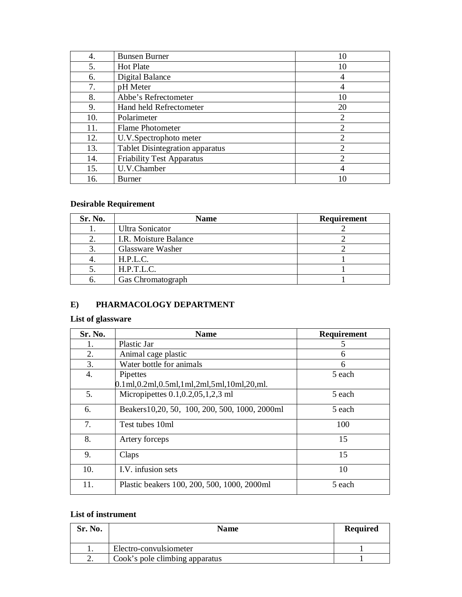| 4.  | <b>Bunsen Burner</b>                   | 10                          |
|-----|----------------------------------------|-----------------------------|
| 5.  | Hot Plate                              | 10                          |
| 6.  | Digital Balance                        |                             |
| 7.  | pH Meter                               | 4                           |
| 8.  | Abbe's Refrectometer                   | 10                          |
| 9.  | Hand held Refrectometer                | 20                          |
| 10. | Polarimeter                            | $\overline{2}$              |
| 11. | Flame Photometer                       | 2                           |
| 12. | U.V.Spectrophoto meter                 | 2                           |
| 13. | <b>Tablet Disintegration apparatus</b> | 2                           |
| 14. | <b>Friability Test Apparatus</b>       | $\mathcal{D}_{\mathcal{A}}$ |
| 15. | U.V.Chamber                            |                             |
| 16. | <b>Burner</b>                          |                             |

## **Desirable Requirement**

| Sr. No. | Name                  | <b>Requirement</b> |
|---------|-----------------------|--------------------|
|         | Ultra Sonicator       |                    |
|         | I.R. Moisture Balance |                    |
|         | Glassware Washer      |                    |
|         | H.P.L.C.              |                    |
|         | H.P.T.L.C.            |                    |
|         | Gas Chromatograph     |                    |

#### **E) PHARMACOLOGY DEPARTMENT**

#### **List of glassware**

| Sr. No. | <b>Name</b>                                                              | Requirement |
|---------|--------------------------------------------------------------------------|-------------|
| 1.      | Plastic Jar                                                              | 5           |
| 2.      | Animal cage plastic                                                      | 6           |
| 3.      | Water bottle for animals                                                 | 6           |
| 4.      | Pipettes                                                                 | 5 each      |
|         | $0.1$ ml, $0.2$ ml, $0.5$ ml, $1$ ml, $2$ ml, $5$ ml, $10$ ml, $20$ ,ml. |             |
| 5.      | Micropipettes $0.1, 0.2, 0.5, 1, 2, 3$ ml                                | 5 each      |
| 6.      | Beakers 10, 20, 50, 100, 200, 500, 1000, 2000ml                          | 5 each      |
| 7.      | Test tubes 10ml                                                          | 100         |
| 8.      | Artery forceps                                                           | 15          |
| 9.      | Claps                                                                    | 15          |
| 10.     | I.V. infusion sets                                                       | 10          |
| 11.     | Plastic beakers 100, 200, 500, 1000, 2000ml                              | 5 each      |

## **List of instrument**

| Sr. No. | <b>Name</b>                    | <b>Required</b> |
|---------|--------------------------------|-----------------|
|         | Electro-convulsiometer         |                 |
| ۷.      | Cook's pole climbing apparatus |                 |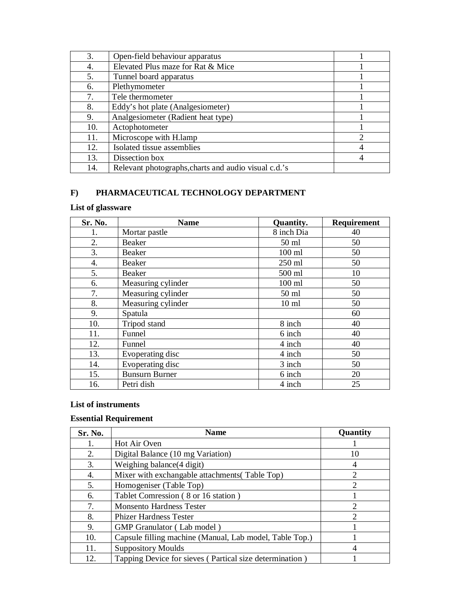| 3.  | Open-field behaviour apparatus                       |                |
|-----|------------------------------------------------------|----------------|
| 4.  | Elevated Plus maze for Rat & Mice                    |                |
| 5.  | Tunnel board apparatus                               |                |
| 6.  | Plethymometer                                        |                |
| 7.  | Tele thermometer                                     |                |
| 8.  | Eddy's hot plate (Analgesiometer)                    |                |
| 9.  | Analgesiometer (Radient heat type)                   |                |
| 10. | Actophotometer                                       |                |
| 11. | Microscope with H.lamp                               | $\mathfrak{D}$ |
| 12. | Isolated tissue assemblies                           |                |
| 13. | Dissection box                                       |                |
| 14. | Relevant photographs, charts and audio visual c.d.'s |                |

## **F) PHARMACEUTICAL TECHNOLOGY DEPARTMENT**

## **List of glassware**

| Sr. No. | <b>Name</b>           | <b>Quantity.</b> | <b>Requirement</b> |
|---------|-----------------------|------------------|--------------------|
|         | Mortar pastle         | 8 inch Dia       | 40                 |
| 2.      | Beaker                | 50 ml            | 50                 |
| 3.      | Beaker                | $100$ ml         | 50                 |
| 4.      | Beaker                | 250 ml           | 50                 |
| 5.      | Beaker                | 500 ml           | 10                 |
| 6.      | Measuring cylinder    | $100$ ml         | 50                 |
| 7.      | Measuring cylinder    | 50 ml            | 50                 |
| 8.      | Measuring cylinder    | $10 \text{ ml}$  | 50                 |
| 9.      | Spatula               |                  | 60                 |
| 10.     | Tripod stand          | 8 inch           | 40                 |
| 11.     | Funnel                | 6 inch           | 40                 |
| 12.     | Funnel                | 4 inch           | 40                 |
| 13.     | Evoperating disc      | 4 inch           | 50                 |
| 14.     | Evoperating disc      | 3 inch           | 50                 |
| 15.     | <b>Bunsurn Burner</b> | 6 inch           | 20                 |
| 16.     | Petri dish            | 4 inch           | 25                 |

#### **List of instruments**

## **Essential Requirement**

| Sr. No. | <b>Name</b>                                             | Quantity       |
|---------|---------------------------------------------------------|----------------|
| 1.      | Hot Air Oven                                            |                |
| 2.      | Digital Balance (10 mg Variation)                       | 10             |
| 3.      | Weighing balance(4 digit)                               | 4              |
| 4.      | Mixer with exchangable attachments(Table Top)           | $\overline{2}$ |
| 5.      | Homogeniser (Table Top)                                 | $\overline{c}$ |
| 6.      | Tablet Comression (8 or 16 station)                     |                |
| 7.      | <b>Monsento Hardness Tester</b>                         | 2              |
| 8.      | <b>Phizer Hardness Tester</b>                           | 2              |
| 9.      | GMP Granulator (Lab model)                              |                |
| 10.     | Capsule filling machine (Manual, Lab model, Table Top.) |                |
| 11.     | <b>Suppository Moulds</b>                               | 4              |
| 12.     | Tapping Device for sieves (Partical size determination) |                |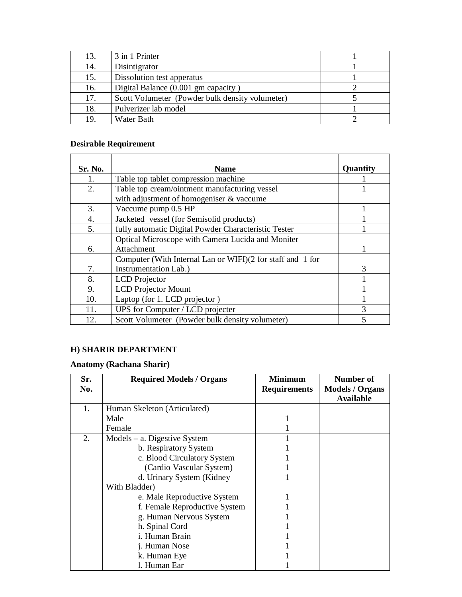| 13. | 3 in 1 Printer                                  |  |
|-----|-------------------------------------------------|--|
| 14. | Disintigrator                                   |  |
| 15. | Dissolution test apperatus                      |  |
| 16. | Digital Balance (0.001 gm capacity)             |  |
| 17. | Scott Volumeter (Powder bulk density volumeter) |  |
| 18. | Pulverizer lab model                            |  |
| 19  | Water Bath                                      |  |

## **Desirable Requirement**

| Sr. No. | <b>Name</b>                                                | Quantity       |
|---------|------------------------------------------------------------|----------------|
| 1.      | Table top tablet compression machine                       |                |
| 2.      | Table top cream/ointment manufacturing vessel              |                |
|         | with adjustment of homogeniser & vaccume                   |                |
| 3.      | Vaccume pump 0.5 HP                                        |                |
| 4.      | Jacketed vessel (for Semisolid products)                   |                |
| 5.      | fully automatic Digital Powder Characteristic Tester       |                |
|         | Optical Microscope with Camera Lucida and Moniter          |                |
| 6.      | Attachment                                                 |                |
|         | Computer (With Internal Lan or WIFI)(2 for staff and 1 for |                |
| 7.      | Instrumentation Lab.)                                      | 3              |
| 8.      | <b>LCD</b> Projector                                       |                |
| 9.      | <b>LCD</b> Projector Mount                                 |                |
| 10.     | Laptop (for 1. LCD projector)                              |                |
| 11.     | UPS for Computer / LCD projecter                           | 3              |
| 12.     | Scott Volumeter (Powder bulk density volumeter)            | $\overline{5}$ |

## **H) SHARIR DEPARTMENT**

#### **Anatomy (Rachana Sharir)**

| Sr.<br>No. | <b>Required Models / Organs</b> | <b>Minimum</b><br><b>Requirements</b> | Number of<br><b>Models / Organs</b> |
|------------|---------------------------------|---------------------------------------|-------------------------------------|
|            |                                 |                                       | <b>Available</b>                    |
| 1.         | Human Skeleton (Articulated)    |                                       |                                     |
|            | Male                            |                                       |                                     |
|            | Female                          |                                       |                                     |
| 2.         | $Models - a$ . Digestive System |                                       |                                     |
|            | b. Respiratory System           |                                       |                                     |
|            | c. Blood Circulatory System     |                                       |                                     |
|            | (Cardio Vascular System)        |                                       |                                     |
|            | d. Urinary System (Kidney       |                                       |                                     |
|            | With Bladder)                   |                                       |                                     |
|            | e. Male Reproductive System     |                                       |                                     |
|            | f. Female Reproductive System   |                                       |                                     |
|            | g. Human Nervous System         |                                       |                                     |
|            | h. Spinal Cord                  |                                       |                                     |
|            | i. Human Brain                  |                                       |                                     |
|            | j. Human Nose                   |                                       |                                     |
|            | k. Human Eye                    |                                       |                                     |
|            | 1. Human Ear                    |                                       |                                     |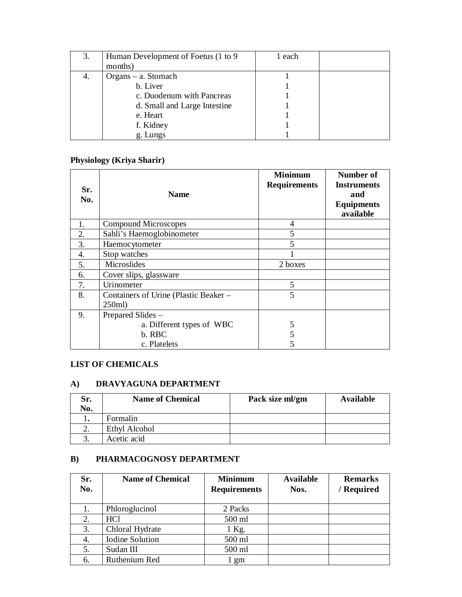| 3. | Human Development of Foetus (1 to 9) | l each |  |
|----|--------------------------------------|--------|--|
|    | months)                              |        |  |
| 4. | $Organs - a$ . Stomach               |        |  |
|    | b. Liver                             |        |  |
|    | c. Duodenum with Pancreas            |        |  |
|    | d. Small and Large Intestine         |        |  |
|    | e. Heart                             |        |  |
|    | f. Kidney                            |        |  |
|    | g. Lungs                             |        |  |

## **Physiology (Kriya Sharir)**

| Sr.<br>No. | <b>Name</b>                                    | <b>Minimum</b><br><b>Requirements</b> | Number of<br><b>Instruments</b><br>and<br><b>Equipments</b><br>available |
|------------|------------------------------------------------|---------------------------------------|--------------------------------------------------------------------------|
| 1.         | Compound Microscopes                           | 4                                     |                                                                          |
| 2.         | Sahli's Haemoglobinometer                      | 5                                     |                                                                          |
| 3.         | Haemocytometer                                 | 5                                     |                                                                          |
| 4.         | Stop watches                                   |                                       |                                                                          |
| 5.         | Microslides                                    | 2 boxes                               |                                                                          |
| 6.         | Cover slips, glassware                         |                                       |                                                                          |
| 7.         | Urinometer                                     | 5                                     |                                                                          |
| 8.         | Containers of Urine (Plastic Beaker –<br>250ml | 5                                     |                                                                          |
| 9.         | Prepared Slides -                              |                                       |                                                                          |
|            | a. Different types of WBC                      | 5                                     |                                                                          |
|            | b. RBC                                         | 5                                     |                                                                          |
|            | c. Platelets                                   | 5                                     |                                                                          |

#### **LIST OF CHEMICALS**

## **A) DRAVYAGUNA DEPARTMENT**

| Sr.<br>No. | <b>Name of Chemical</b> | Pack size ml/gm | <b>Available</b> |
|------------|-------------------------|-----------------|------------------|
| . .        | Formalin                |                 |                  |
|            | <b>Ethyl Alcohol</b>    |                 |                  |
|            | Acetic acid             |                 |                  |

#### **B) PHARMACOGNOSY DEPARTMENT**

| Sr. | <b>Name of Chemical</b> | <b>Minimum</b>      | <b>Available</b> | <b>Remarks</b> |
|-----|-------------------------|---------------------|------------------|----------------|
| No. |                         | <b>Requirements</b> | Nos.             | / Required     |
|     |                         |                     |                  |                |
|     | Phloroglucinol          | 2 Packs             |                  |                |
| 2.  | HC <sub>1</sub>         | 500 ml              |                  |                |
| 3.  | Chloral Hydrate         | 1 Kg.               |                  |                |
| 4.  | <b>Iodine Solution</b>  | 500 ml              |                  |                |
| 5.  | Sudan III               | 500 ml              |                  |                |
| 6.  | Ruthenium Red           | l gm                |                  |                |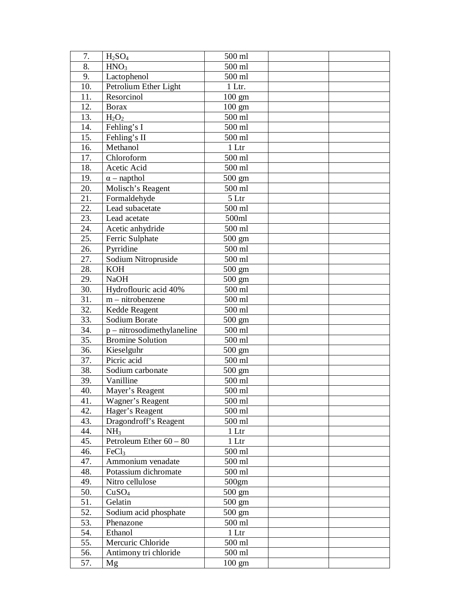| 7.                | H <sub>2</sub> SO <sub>4</sub> | 500 ml           |  |
|-------------------|--------------------------------|------------------|--|
| 8.                | HNO <sub>3</sub>               | 500 ml           |  |
| 9.                | Lactophenol                    | 500 ml           |  |
| 10.               | Petrolium Ether Light          | 1 Ltr.           |  |
| 11.               | Resorcinol                     | $100 \text{ gm}$ |  |
| 12.               | <b>Borax</b>                   | $100 \text{ gm}$ |  |
| 13.               | $H_2O_2$                       | 500 ml           |  |
| 14.               | Fehling's I                    | 500 ml           |  |
| 15.               | Fehling's II                   | 500 ml           |  |
| 16.               | Methanol                       | 1 Ltr            |  |
| 17.               | Chloroform                     | 500 ml           |  |
| 18.               | Acetic Acid                    | 500 ml           |  |
| 19.               | $\alpha$ – napthol             | $500 \text{ gm}$ |  |
| 20.               | Molisch's Reagent              | 500 ml           |  |
| 21.               | Formaldehyde                   | 5 Ltr            |  |
| 22.               | Lead subacetate                | 500 ml           |  |
| 23.               | Lead acetate                   | 500ml            |  |
| 24.               | Acetic anhydride               | 500 ml           |  |
| 25.               | Ferric Sulphate                | 500 gm           |  |
| 26.               | Pyrridine                      | 500 ml           |  |
| 27.               | Sodium Nitropruside            | 500 ml           |  |
| 28.               | <b>KOH</b>                     | $500 \text{ gm}$ |  |
| 29.               | <b>NaOH</b>                    | 500 gm           |  |
| 30.               | Hydroflouric acid 40%          | 500 ml           |  |
| 31.               | $m$ – nitrobenzene             | 500 ml           |  |
| $\overline{32}$ . | Kedde Reagent                  | 500 ml           |  |
| 33.               | Sodium Borate                  | 500 gm           |  |
| 34.               | $p$ – nitrosodimethylaneline   | 500 ml           |  |
| 35.               | <b>Bromine Solution</b>        | 500 ml           |  |
| 36.               | Kieselguhr                     | $500 \text{ gm}$ |  |
| 37.               | Picric acid                    | 500 ml           |  |
| 38.               | Sodium carbonate               | $500 \text{ gm}$ |  |
| 39.               | Vanilline                      | 500 ml           |  |
| 40.               | Mayer's Reagent                | 500 ml           |  |
| 41.               | Wagner's Reagent               | 500 ml           |  |
| 42.               | Hager's Reagent                | 500 ml           |  |
| 43.               | Dragondroff's Reagent          | 500 ml           |  |
| 44.               | NH <sub>3</sub>                | 1 Ltr            |  |
| 45.               | Petroleum Ether $60 - 80$      | 1 Ltr            |  |
| 46.               | FeCl <sub>3</sub>              | 500 ml           |  |
| 47.               | Ammonium venadate              | 500 ml           |  |
| 48.               | Potassium dichromate           | 500 ml           |  |
| 49.               | Nitro cellulose                | 500gm            |  |
| 50.               | CuSO <sub>4</sub>              | $500 \text{ gm}$ |  |
| 51.               | Gelatin                        | $500 \text{ gm}$ |  |
| 52.               | Sodium acid phosphate          | 500 gm           |  |
| 53.               | Phenazone                      | 500 ml           |  |
| 54.               | Ethanol                        | 1 <sup>LT</sup>  |  |
| 55.               | Mercuric Chloride              | 500 ml           |  |
| 56.               | Antimony tri chloride          | 500 ml           |  |
| 57.               | Mg                             | $100 \text{ gm}$ |  |
|                   |                                |                  |  |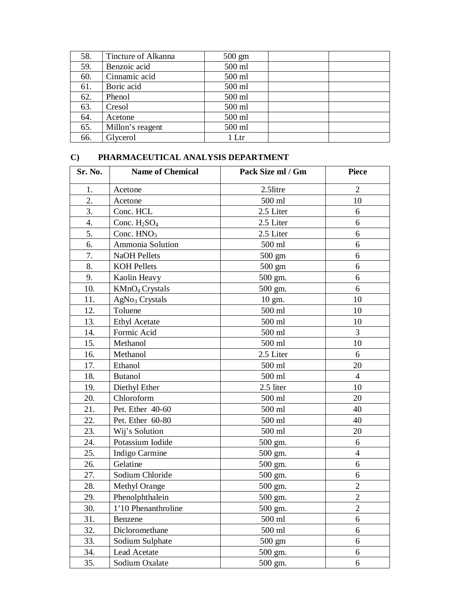| 58. | Tincture of Alkanna | $500 \text{ gm}$ |  |
|-----|---------------------|------------------|--|
| 59. | Benzoic acid        | 500 ml           |  |
| 60. | Cinnamic acid       | 500 ml           |  |
| 61. | Boric acid          | 500 ml           |  |
| 62. | Phenol              | 500 ml           |  |
| 63. | Cresol              | 500 ml           |  |
| 64. | Acetone             | 500 ml           |  |
| 65. | Millon's reagent    | 500 ml           |  |
| 66. | Glycerol            | 1 Ltr            |  |

#### **C) PHARMACEUTICAL ANALYSIS DEPARTMENT**

| Sr. No. | <b>Name of Chemical</b>    | Pack Size ml / Gm  | <b>Piece</b>   |
|---------|----------------------------|--------------------|----------------|
| 1.      | Acetone                    | 2.5litre           | $\overline{2}$ |
| 2.      | Acetone                    | 500 ml             | 10             |
| 3.      | Conc. HCL                  | 2.5 Liter          | 6              |
| 4.      | Conc. $H_2SO_4$            | 2.5 Liter          | 6              |
| 5.      | Conc. $HNO3$               | 2.5 Liter          | 6              |
| 6.      | Ammonia Solution           | $500$ ml           | 6              |
| 7.      | <b>NaOH</b> Pellets        | $500 \text{ gm}$   | 6              |
| 8.      | <b>KOH Pellets</b>         | 500 gm             | 6              |
| 9.      | Kaolin Heavy               | 500 gm.            | 6              |
| 10.     | KMnO <sub>4</sub> Crystals | 500 gm.            | 6              |
| 11.     | AgNo <sub>3</sub> Crystals | $10 \text{ gm.}$   | 10             |
| 12.     | Toluene                    | 500 ml             | 10             |
| 13.     | <b>Ethyl Acetate</b>       | 500 ml             | 10             |
| 14.     | Formic Acid                | 500 ml             | 3              |
| 15.     | Methanol                   | 500 ml             | 10             |
| 16.     | Methanol                   | 2.5 Liter          | 6              |
| 17.     | Ethanol                    | 500 ml             | 20             |
| 18.     | <b>Butanol</b>             | 500 ml             | $\overline{4}$ |
| 19.     | Diethyl Ether              | 2.5 liter          | 10             |
| 20.     | Chloroform                 | $500\;\mathrm{ml}$ | 20             |
| 21.     | Pet. Ether 40-60           | 500 ml             | 40             |
| 22.     | Pet. Ether 60-80           | 500 ml             | 40             |
| 23.     | Wij's Solution             | 500 ml             | 20             |
| 24.     | Potassium Iodide           | 500 gm.            | 6              |
| 25.     | Indigo Carmine             | 500 gm.            | $\overline{4}$ |
| 26.     | Gelatine                   | 500 gm.            | 6              |
| 27.     | Sodium Chloride            | 500 gm.            | 6              |
| 28.     | <b>Methyl Orange</b>       | 500 gm.            | $\overline{2}$ |
| 29.     | Phenolphthalein            | 500 gm.            | $\overline{2}$ |
| 30.     | 1'10 Phenanthroline        | 500 gm.            | $\mathbf{2}$   |
| 31.     | Benzene                    | 500 ml             | 6              |
| 32.     | Dicloromethane             | 500 ml             | 6              |
| 33.     | Sodium Sulphate            | $500 \text{ gm}$   | 6              |
| 34.     | Lead Acetate               | 500 gm.            | 6              |
| 35.     | Sodium Oxalate             | 500 gm.            | 6              |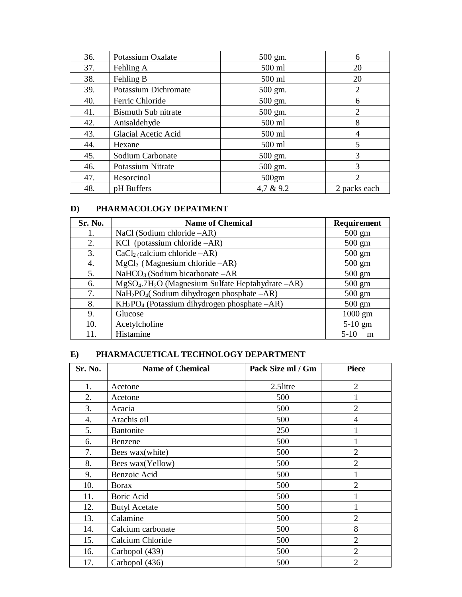| 36. | Potassium Oxalate          | 500 gm.   | 6            |
|-----|----------------------------|-----------|--------------|
| 37. | Fehling A                  | 500 ml    | 20           |
| 38. | Fehling B                  | 500 ml    | 20           |
| 39. | Potassium Dichromate       | 500 gm.   | 2            |
| 40. | Ferric Chloride            | 500 gm.   | 6            |
| 41. | <b>Bismuth Sub nitrate</b> | 500 gm.   | 2            |
| 42. | Anisaldehyde               | 500 ml    | 8            |
| 43. | <b>Glacial Acetic Acid</b> | 500 ml    | 4            |
| 44. | Hexane                     | 500 ml    | 5            |
| 45. | Sodium Carbonate           | 500 gm.   | 3            |
| 46. | Potassium Nitrate          | 500 gm.   | 3            |
| 47. | Resorcinol                 | 500gm     | 2            |
| 48. | pH Buffers                 | 4,7 & 9.2 | 2 packs each |

#### **D) PHARMACOLOGY DEPATMENT**

| Sr. No. | <b>Name of Chemical</b>                                              | <b>Requirement</b> |
|---------|----------------------------------------------------------------------|--------------------|
| 1.      | NaCl (Sodium chloride $-AR$ )                                        | $500 \text{ gm}$   |
| 2.      | KCl (potassium chloride $-AR$ )                                      | $500 \text{ gm}$   |
| 3.      | $CaCl2$ (calcium chloride $-AR$ )                                    | $500 \text{ gm}$   |
| 4.      | $MgCl2$ (Magnesium chloride $-AR$ )                                  | $500 \text{ gm}$   |
| 5.      | $NaHCO3$ (Sodium bicarbonate $-AR$ )                                 | $500 \text{ gm}$   |
| 6.      | $MgSO4$ .7H <sub>2</sub> O (Magnesium Sulfate Heptahydrate $-AR$ )   | $500 \text{ gm}$   |
| 7.      | NaH <sub>2</sub> PO <sub>4</sub> (Sodium dihydrogen phosphate -AR)   | $500 \text{ gm}$   |
| 8.      | KH <sub>2</sub> PO <sub>4</sub> (Potassium dihydrogen phosphate -AR) | $500 \text{ gm}$   |
| 9.      | Glucose                                                              | $1000$ gm          |
| 10.     | Acetylcholine                                                        | $5-10$ gm          |
| 11.     | Histamine                                                            | $5-10$<br>m        |

## **E) PHARMACUETICAL TECHNOLOGY DEPARTMENT**

| Sr. No. | <b>Name of Chemical</b> | Pack Size ml / Gm | <b>Piece</b>   |
|---------|-------------------------|-------------------|----------------|
| 1.      | Acetone                 | 2.5litre          | $\overline{2}$ |
| 2.      | Acetone                 | 500               |                |
| 3.      | Acacia                  | 500               | $\overline{2}$ |
| 4.      | Arachis oil             | 500               | 4              |
| 5.      | <b>Bantonite</b>        | 250               |                |
| 6.      | Benzene                 | 500               |                |
| 7.      | Bees wax(white)         | 500               | $\overline{2}$ |
| 8.      | Bees wax(Yellow)        | 500               | $\overline{2}$ |
| 9.      | Benzoic Acid            | 500               |                |
| 10.     | Borax                   | 500               | $\overline{2}$ |
| 11.     | Boric Acid              | 500               |                |
| 12.     | <b>Butyl Acetate</b>    | 500               |                |
| 13.     | Calamine                | 500               | $\overline{2}$ |
| 14.     | Calcium carbonate       | 500               | 8              |
| 15.     | Calcium Chloride        | 500               | $\overline{2}$ |
| 16.     | Carbopol (439)          | 500               | $\overline{2}$ |
| 17.     | Carbopol (436)          | 500               | $\overline{2}$ |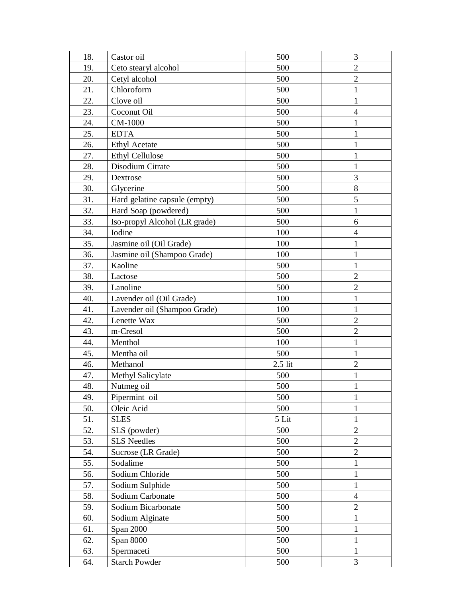| 18. | Castor oil                    | 500       | 3              |
|-----|-------------------------------|-----------|----------------|
| 19. | Ceto stearyl alcohol          | 500       | $\overline{2}$ |
| 20. | Cetyl alcohol                 | 500       | $\overline{2}$ |
| 21. | Chloroform                    | 500       | $\mathbf{1}$   |
| 22. | Clove oil                     | 500       | $\mathbf{1}$   |
| 23. | Coconut Oil                   | 500       | $\overline{4}$ |
| 24. | CM-1000                       | 500       | 1              |
| 25. | <b>EDTA</b>                   | 500       | $\mathbf{1}$   |
| 26. | <b>Ethyl Acetate</b>          | 500       | 1              |
| 27. | <b>Ethyl Cellulose</b>        | 500       | $\mathbf{1}$   |
| 28. | Disodium Citrate              | 500       | $\mathbf{1}$   |
| 29. | Dextrose                      | 500       | 3              |
| 30. | Glycerine                     | 500       | $8\,$          |
| 31. | Hard gelatine capsule (empty) | 500       | 5              |
| 32. | Hard Soap (powdered)          | 500       | $\mathbf{1}$   |
| 33. | Iso-propyl Alcohol (LR grade) | 500       | 6              |
| 34. | Iodine                        | 100       | $\overline{4}$ |
| 35. | Jasmine oil (Oil Grade)       | 100       | $\mathbf{1}$   |
| 36. | Jasmine oil (Shampoo Grade)   | 100       | $\mathbf{1}$   |
| 37. | Kaoline                       | 500       | $\mathbf{1}$   |
| 38. | Lactose                       | 500       | $\overline{2}$ |
| 39. | Lanoline                      | 500       | $\overline{2}$ |
| 40. | Lavender oil (Oil Grade)      | 100       | $\mathbf{1}$   |
| 41. | Lavender oil (Shampoo Grade)  | 100       | $\mathbf{1}$   |
| 42. | Lenette Wax                   | 500       | $\mathbf{2}$   |
| 43. | m-Cresol                      | 500       | $\overline{2}$ |
| 44. | Menthol                       | 100       | $\mathbf{1}$   |
| 45. | Mentha oil                    | 500       | $\mathbf{1}$   |
| 46. | Methanol                      | $2.5$ lit | $\overline{2}$ |
| 47. | Methyl Salicylate             | 500       | 1              |
| 48. | Nutmeg oil                    | 500       | $\mathbf{1}$   |
| 49. | Pipermint oil                 | 500       | $\mathbf{1}$   |
| 50. | Oleic Acid                    | 500       | 1              |
| 51. | <b>SLES</b>                   | 5 Lit     | $\mathbf{1}$   |
| 52. | SLS (powder)                  | 500       | $\overline{2}$ |
| 53. | <b>SLS Needles</b>            | 500       | $\overline{2}$ |
| 54. | Sucrose (LR Grade)            | 500       | $\overline{2}$ |
| 55. | Sodalime                      | 500       | $\mathbf{1}$   |
| 56. | Sodium Chloride               | 500       | $\mathbf{1}$   |
| 57. | Sodium Sulphide               | 500       | $\mathbf{1}$   |
| 58. | Sodium Carbonate              | 500       | $\overline{4}$ |
| 59. | Sodium Bicarbonate            | 500       | $\overline{2}$ |
| 60. | Sodium Alginate               | 500       | $\mathbf{1}$   |
| 61. | Span 2000                     | 500       | $\mathbf{1}$   |
| 62. | Span 8000                     | 500       | $\mathbf{1}$   |
| 63. | Spermaceti                    | 500       | $\mathbf{1}$   |
| 64. | <b>Starch Powder</b>          | 500       | 3              |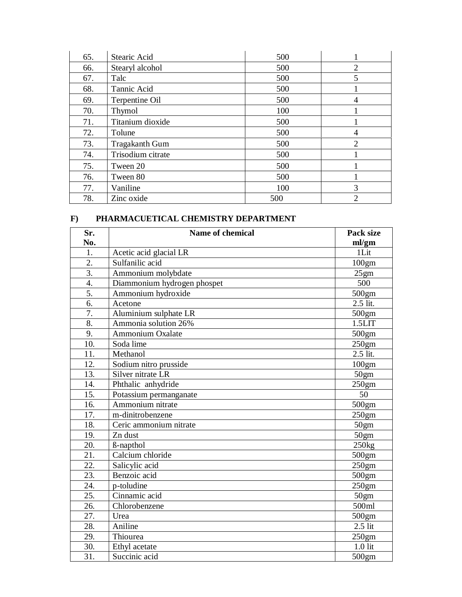| 65. | Stearic Acid          | 500 |                |
|-----|-----------------------|-----|----------------|
| 66. | Stearyl alcohol       | 500 | $\overline{2}$ |
| 67. | Talc                  | 500 | 5              |
| 68. | Tannic Acid           | 500 |                |
| 69. | Terpentine Oil        | 500 | 4              |
| 70. | Thymol                | 100 |                |
| 71. | Titanium dioxide      | 500 |                |
| 72. | Tolune                | 500 | 4              |
| 73. | <b>Tragakanth Gum</b> | 500 | $\overline{2}$ |
| 74. | Trisodium citrate     | 500 |                |
| 75. | Tween 20              | 500 |                |
| 76. | Tween 80              | 500 |                |
| 77. | Vaniline              | 100 | 3              |
| 78. | Zinc oxide            | 500 | 2              |

#### **F) PHARMACUETICAL CHEMISTRY DEPARTMENT**

| Sr. | Name of chemical            | Pack size         |
|-----|-----------------------------|-------------------|
| No. |                             | ml/gm             |
| 1.  | Acetic acid glacial LR      | 1Lit              |
| 2.  | Sulfanilic acid             | 100 <sub>gm</sub> |
| 3.  | Ammonium molybdate          | 25gm              |
| 4.  | Diammonium hydrogen phospet | 500               |
| 5.  | Ammonium hydroxide          | 500gm             |
| 6.  | Acetone                     | $2.5$ lit.        |
| 7.  | Aluminium sulphate LR       | 500gm             |
| 8.  | Ammonia solution 26%        | 1.5LIT            |
| 9.  | Ammonium Oxalate            | 500gm             |
| 10. | Soda lime                   | 250gm             |
| 11. | Methanol                    | 2.5 lit.          |
| 12. | Sodium nitro prusside       | 100 <sub>gm</sub> |
| 13. | Silver nitrate LR           | 50 <sub>gm</sub>  |
| 14. | Phthalic anhydride          | 250gm             |
| 15. | Potassium permanganate      | 50                |
| 16. | Ammonium nitrate            | 500gm             |
| 17. | m-dinitrobenzene            | 250gm             |
| 18. | Ceric ammonium nitrate      | 50 <sub>gm</sub>  |
| 19. | Zn dust                     | 50 <sub>gm</sub>  |
| 20. | ß-napthol                   | 250kg             |
| 21. | Calcium chloride            | 500gm             |
| 22. | Salicylic acid              | 250gm             |
| 23. | Benzoic acid                | 500gm             |
| 24. | p-toludine                  | 250gm             |
| 25. | Cinnamic acid               | 50gm              |
| 26. | Chlorobenzene               | 500ml             |
| 27. | Urea                        | 500gm             |
| 28. | Aniline                     | $2.5$ lit         |
| 29. | Thiourea                    | 250gm             |
| 30. | Ethyl acetate               | $1.0$ lit         |
| 31. | Succinic acid               | 500gm             |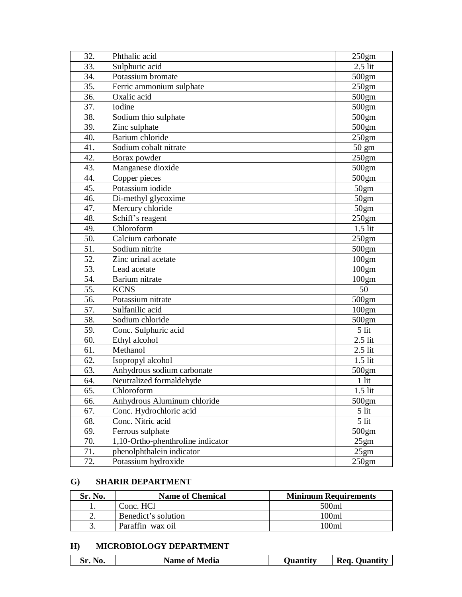| 32. | Phthalic acid                     | 250gm             |
|-----|-----------------------------------|-------------------|
| 33. | Sulphuric acid                    | $2.5$ lit         |
| 34. | Potassium bromate                 | 500gm             |
| 35. | Ferric ammonium sulphate          | 250gm             |
| 36. | Oxalic acid                       | 500gm             |
| 37. | Iodine                            | 500gm             |
| 38. | Sodium thio sulphate              | 500gm             |
| 39. | Zinc sulphate                     | 500gm             |
| 40. | Barium chloride                   | 250 <sub>gm</sub> |
| 41. | Sodium cobalt nitrate             | $50 \text{ gm}$   |
| 42. | Borax powder                      | 250gm             |
| 43. | Manganese dioxide                 | 500gm             |
| 44. | Copper pieces                     | 500gm             |
| 45. | Potassium iodide                  | 50gm              |
| 46. | Di-methyl glycoxime               | 50gm              |
| 47. | Mercury chloride                  | 50gm              |
| 48. | Schiff's reagent                  | 250 <sub>gm</sub> |
| 49. | Chloroform                        | $1.5$ lit         |
| 50. | Calcium carbonate                 | 250gm             |
| 51. | Sodium nitrite                    | 500gm             |
| 52. | Zinc urinal acetate               | 100 <sub>gm</sub> |
| 53. | Lead acetate                      | 100gm             |
| 54. | Barium nitrate                    | 100 <sub>gm</sub> |
| 55. | <b>KCNS</b>                       | 50                |
| 56. | Potassium nitrate                 | 500gm             |
| 57. | Sulfanilic acid                   | 100gm             |
| 58. | Sodium chloride                   | 500gm             |
| 59. | Conc. Sulphuric acid              | 5 lit             |
| 60. | Ethyl alcohol                     | $2.5$ lit         |
| 61. | Methanol                          | $2.5$ lit         |
| 62. | Isopropyl alcohol                 | $1.5$ lit         |
| 63. | Anhydrous sodium carbonate        | 500gm             |
| 64. | Neutralized formaldehyde          | $1$ lit           |
| 65. | Chloroform                        | $1.5$ lit         |
| 66. | Anhydrous Aluminum chloride       | 500gm             |
| 67. | Conc. Hydrochloric acid           | 5 lit             |
| 68. | Conc. Nitric acid                 | $5$ lit           |
| 69. | Ferrous sulphate                  | 500gm             |
| 70. | 1,10-Ortho-phenthroline indicator | 25gm              |
| 71. | phenolphthalein indicator         | 25gm              |
| 72. | Potassium hydroxide               | 250gm             |

#### **G) SHARIR DEPARTMENT**

| Sr. No.  | <b>Name of Chemical</b> | <b>Minimum Requirements</b> |
|----------|-------------------------|-----------------------------|
|          | Conc. HCl               | 500ml                       |
| <u>.</u> | Benedict's solution     | 100ml                       |
|          | Paraffin wax oil        | 100ml                       |

#### **H) MICROBIOLOGY DEPARTMENT**

|  |  |  | <b>Name of Media</b> | Juantity | <b>Req</b><br>Ouantity |
|--|--|--|----------------------|----------|------------------------|
|--|--|--|----------------------|----------|------------------------|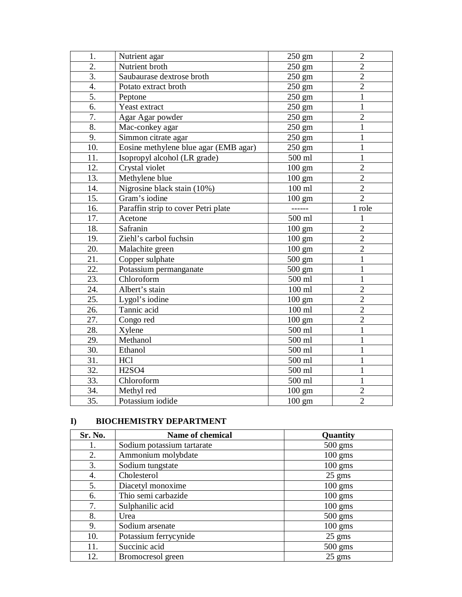| 1.  | Nutrient agar                         | $250 \text{ gm}$ | $\overline{2}$ |
|-----|---------------------------------------|------------------|----------------|
| 2.  | Nutrient broth                        | 250 gm           | $\overline{2}$ |
| 3.  | Saubaurase dextrose broth             | $250 \text{ gm}$ | $\overline{2}$ |
| 4.  | Potato extract broth                  | 250 gm           | $\overline{2}$ |
| 5.  | Peptone                               | $250 \text{ gm}$ | $\mathbf{1}$   |
| 6.  | Yeast extract                         | $250 \text{ gm}$ | $\mathbf{1}$   |
| 7.  | Agar Agar powder                      | 250 gm           | $\overline{2}$ |
| 8.  | Mac-conkey agar                       | 250 gm           | $\mathbf{1}$   |
| 9.  | Simmon citrate agar                   | $250 \text{ gm}$ | $\mathbf{1}$   |
| 10. | Eosine methylene blue agar (EMB agar) | 250 gm           | $\mathbf{1}$   |
| 11. | Isopropyl alcohol (LR grade)          | 500 ml           | $\mathbf{1}$   |
| 12. | Crystal violet                        | $100 \text{ gm}$ | $\overline{2}$ |
| 13. | Methylene blue                        | 100 gm           | $\overline{2}$ |
| 14. | Nigrosine black stain (10%)           | $100$ ml         | $\overline{2}$ |
| 15. | Gram's iodine                         | $100 \text{ gm}$ | $\overline{2}$ |
| 16. | Paraffin strip to cover Petri plate   | ------           | 1 role         |
| 17. | Acetone                               | 500 ml           | 1              |
| 18. | Safranin                              | $100 \text{ gm}$ | $\overline{2}$ |
| 19. | Ziehl's carbol fuchsin                | $100 \text{ gm}$ | $\overline{2}$ |
| 20. | Malachite green                       | $100 \text{ gm}$ | $\overline{2}$ |
| 21. | Copper sulphate                       | $500 \text{ gm}$ | $\mathbf{1}$   |
| 22. | Potassium permanganate                | $500 \text{ gm}$ | $\mathbf{1}$   |
| 23. | Chloroform                            | 500 ml           | 1              |
| 24. | Albert's stain                        | 100 ml           | $\overline{2}$ |
| 25. | Lygol's iodine                        | $100 \text{ gm}$ | $\overline{2}$ |
| 26. | Tannic acid                           | $100$ ml         | $\overline{2}$ |
| 27. | Congo red                             | $100 \text{ gm}$ | $\overline{2}$ |
| 28. | Xylene                                | 500 ml           | $\mathbf{1}$   |
| 29. | Methanol                              | 500 ml           | $\mathbf{1}$   |
| 30. | Ethanol                               | 500 ml           | $\overline{1}$ |
| 31. | <b>HCl</b>                            | 500 ml           | $\mathbf{1}$   |
| 32. | <b>H2SO4</b>                          | 500 ml           | $\mathbf{1}$   |
| 33. | Chloroform                            | 500 ml           | $\mathbf{1}$   |
| 34. | Methyl red                            | $100 \text{ gm}$ | $\overline{2}$ |
| 35. | Potassium iodide                      | $100 \text{ gm}$ | $\overline{2}$ |

#### **I) BIOCHEMISTRY DEPARTMENT**

| Sr. No. | <b>Name of chemical</b>    | Quantity          |
|---------|----------------------------|-------------------|
| 1.      | Sodium potassium tartarate | $500 \text{ gms}$ |
| 2.      | Ammonium molybdate         | $100$ gms         |
| 3.      | Sodium tungstate           | $100$ gms         |
| 4.      | Cholesterol                | $25$ gms          |
| 5.      | Diacetyl monoxime          | $100$ gms         |
| 6.      | Thio semi carbazide        | $100$ gms         |
| 7.      | Sulphanilic acid           | $100 \text{ gms}$ |
| 8.      | Urea                       | $500$ gms         |
| 9.      | Sodium arsenate            | $100$ gms         |
| 10.     | Potassium ferrycynide      | $25$ gms          |
| 11.     | Succinic acid              | 500 gms           |
| 12.     | Bromocresol green          | $25 \text{ gms}$  |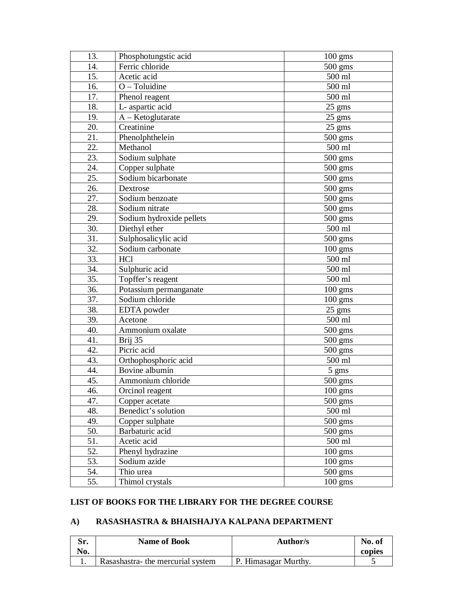| 13. | Phosphotungstic acid     | $100 \text{ gms}$ |
|-----|--------------------------|-------------------|
| 14. | Ferric chloride          | $500$ gms         |
| 15. | Acetic acid              | 500 ml            |
| 16. | $O - T$ oluidine         | 500 ml            |
| 17. | Phenol reagent           | 500 ml            |
| 18. | L- aspartic acid         | $25 \text{ gms}$  |
| 19. | $A - Ketoglutarate$      | 25 gms            |
| 20. | Creatinine               | 25 gms            |
| 21. | Phenolphthelein          | 500 gms           |
| 22. | Methanol                 | 500 ml            |
| 23. | Sodium sulphate          | $500$ gms         |
| 24. | Copper sulphate          | $500 \text{ gms}$ |
| 25. | Sodium bicarbonate       | 500 gms           |
| 26. | Dextrose                 | $500 \text{ gms}$ |
| 27. | Sodium benzoate          | $500 \text{ gms}$ |
| 28. | Sodium nitrate           | $500$ gms         |
| 29. | Sodium hydroxide pellets | $500 \text{ gms}$ |
| 30. | Diethyl ether            | 500 ml            |
| 31. | Sulphosalicylic acid     | $500 \text{ gms}$ |
| 32. | Sodium carbonate         | $100$ gms         |
| 33. | <b>HCl</b>               | 500 ml            |
| 34. | Sulphuric acid           | 500 ml            |
| 35. | Topffer's reagent        | 500 ml            |
| 36. | Potassium permanganate   | $100 \text{ gms}$ |
| 37. | Sodium chloride          | $100$ gms         |
| 38. | EDTA powder              | $25 \text{ gms}$  |
| 39. | Acetone                  | 500 ml            |
| 40. | Ammonium oxalate         | $500$ gms         |
| 41. | Brij 35                  | 500 gms           |
| 42. | Picric acid              | $500 \text{ gms}$ |
| 43. | Orthophosphoric acid     | 500 ml            |
| 44. | Bovine albumin           | 5 gms             |
| 45. | Ammonium chloride        | $500 \text{ gms}$ |
| 46. | Orcinol reagent          | 100 gms           |
| 47. | Copper acetate           | 500 gms           |
| 48. | Benedict's solution      | 500 ml            |
| 49. | Copper sulphate          | $500 \text{ gms}$ |
| 50. | Barbaturic acid          | $500$ gms         |
| 51. | Acetic acid              | 500 ml            |
| 52. | Phenyl hydrazine         | $100$ gms         |
| 53. | Sodium azide             | $100 \text{ gms}$ |
| 54. | Thio urea                | $500 \text{ gms}$ |
| 55. | Thimol crystals          | $100 \text{ gms}$ |

#### **LIST OF BOOKS FOR THE LIBRARY FOR THE DEGREE COURSE**

## **A) RASASHASTRA & BHAISHAJYA KALPANA DEPARTMENT**

| Sr.<br>No. | <b>Name of Book</b>              | Author/s             | No. of<br>copies |
|------------|----------------------------------|----------------------|------------------|
|            | Rasashastra-the mercurial system | P. Himasagar Murthy. |                  |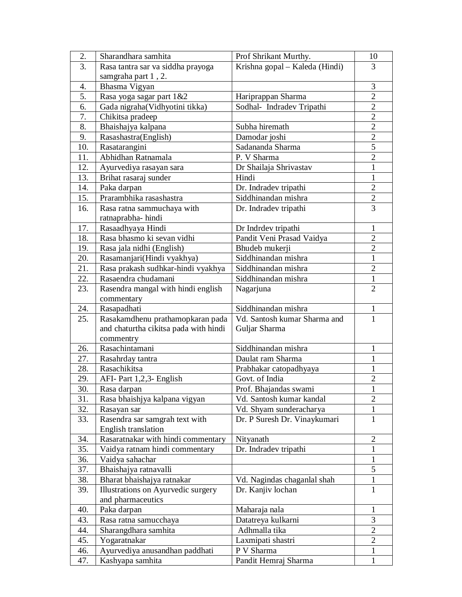| 2.  | Sharandhara samhita                   | Prof Shrikant Murthy.          | 10             |
|-----|---------------------------------------|--------------------------------|----------------|
| 3.  | Rasa tantra sar va siddha prayoga     | Krishna gopal - Kaleda (Hindi) | 3              |
|     | samgraha part 1, 2.                   |                                |                |
| 4.  | Bhasma Vigyan                         |                                | 3              |
| 5.  | Rasa yoga sagar part 1&2              | Hariprappan Sharma             | $\overline{2}$ |
| 6.  | Gada nigraha(Vidhyotini tikka)        | Sodhal- Indradev Tripathi      | $\overline{2}$ |
| 7.  | Chikitsa pradeep                      |                                | $\overline{2}$ |
| 8.  | Bhaishajya kalpana                    | Subha hiremath                 | $\overline{2}$ |
| 9.  | Rasashastra(English)                  | Damodar joshi                  | $\overline{2}$ |
| 10. | Rasatarangini                         | Sadananda Sharma               | 5              |
| 11. | Abhidhan Ratnamala                    | P. V Sharma                    | $\overline{2}$ |
| 12. |                                       |                                | $\mathbf{1}$   |
|     | Ayurvediya rasayan sara               | Dr Shailaja Shrivastav         |                |
| 13. | Brihat rasaraj sunder                 | Hindi                          | 1              |
| 14. | Paka darpan                           | Dr. Indradev tripathi          | $\overline{2}$ |
| 15. | Prarambhika rasashastra               | Siddhinandan mishra            | $\overline{c}$ |
| 16. | Rasa ratna sammuchaya with            | Dr. Indradev tripathi          | $\overline{3}$ |
|     | ratnaprabha-hindi                     |                                |                |
| 17. | Rasaadhyaya Hindi                     | Dr Indrdev tripathi            | $\mathbf{1}$   |
| 18. | Rasa bhasmo ki sevan vidhi            | Pandit Veni Prasad Vaidya      | $\overline{2}$ |
| 19. | Rasa jala nidhi (English)             | Bhudeb mukerji                 | $\overline{2}$ |
| 20. | Rasamanjari(Hindi vyakhya)            | Siddhinandan mishra            | $\mathbf{1}$   |
| 21. | Rasa prakash sudhkar-hindi vyakhya    | Siddhinandan mishra            | $\overline{2}$ |
| 22. | Rasaendra chudamani                   | Siddhinandan mishra            | $\mathbf{1}$   |
| 23. | Rasendra mangal with hindi english    | Nagarjuna                      | $\overline{2}$ |
|     | commentary                            |                                |                |
| 24. | Rasapadhati                           | Siddhinandan mishra            | $\mathbf{1}$   |
| 25. | Rasakamdhenu prathamopkaran pada      | Vd. Santosh kumar Sharma and   | 1              |
|     | and chaturtha cikitsa pada with hindi | Guljar Sharma                  |                |
|     | commentry                             |                                |                |
| 26. | Rasachintamani                        | Siddhinandan mishra            | 1              |
| 27. | Rasahrday tantra                      | Daulat ram Sharma              | 1              |
| 28. | Rasachikitsa                          | Prabhakar catopadhyaya         | 1              |
| 29. | AFI- Part 1,2,3- English              | Govt. of India                 | $\overline{2}$ |
| 30. | Rasa darpan                           | Prof. Bhajandas swami          | $\mathbf{1}$   |
| 31. | Rasa bhaishjya kalpana vigyan         | Vd. Santosh kumar kandal       | $\overline{2}$ |
|     |                                       |                                |                |
| 32. | Rasayan sar                           | Vd. Shyam sunderacharya        | $\mathbf{1}$   |
| 33. | Rasendra sar samgrah text with        | Dr. P Suresh Dr. Vinaykumari   | $\mathbf{1}$   |
|     | English translation                   |                                |                |
| 34. | Rasaratnakar with hindi commentary    | Nityanath                      | $\overline{2}$ |
| 35. | Vaidya ratnam hindi commentary        | Dr. Indradev tripathi          | $\mathbf{1}$   |
| 36. | Vaidya sahachar                       |                                | $\mathbf{1}$   |
| 37. | Bhaishajya ratnavalli                 |                                | 5              |
| 38. | Bharat bhaishajya ratnakar            | Vd. Nagindas chaganlal shah    | $\mathbf{1}$   |
| 39. | Illustrations on Ayurvedic surgery    | Dr. Kanjiv lochan              | $\mathbf{1}$   |
|     | and pharmaceutics                     |                                |                |
| 40. | Paka darpan                           | Maharaja nala                  | 1              |
| 43. | Rasa ratna samucchaya                 | Datatreya kulkarni             | 3              |
| 44. | Sharangdhara samhita                  | Adhmalla tika                  | $\overline{2}$ |
| 45. | Yogaratnakar                          | Laxmipati shastri              | $\overline{2}$ |
| 46. | Ayurvediya anusandhan paddhati        | P V Sharma                     | 1              |
| 47. | Kashyapa samhita                      | Pandit Hemraj Sharma           | $\mathbf{1}$   |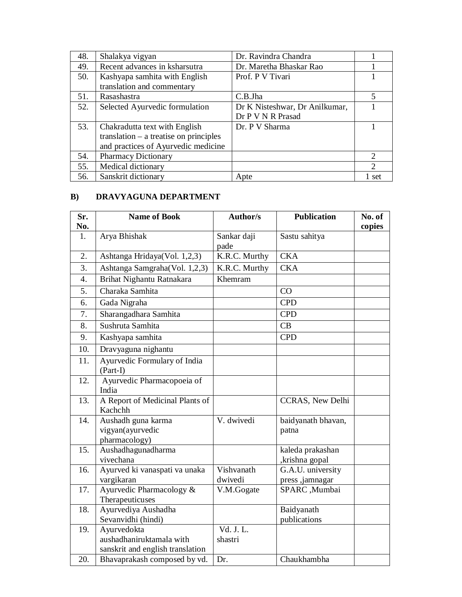| 48. | Shalakya vigyan                          | Dr. Ravindra Chandra           |                             |
|-----|------------------------------------------|--------------------------------|-----------------------------|
| 49. | Recent advances in ksharsutra            | Dr. Maretha Bhaskar Rao        |                             |
| 50. | Kashyapa samhita with English            | Prof. P V Tivari               |                             |
|     | translation and commentary               |                                |                             |
| 51. | Rasashastra                              | C.B.Jha                        | 5                           |
| 52. | Selected Ayurvedic formulation           | Dr K Nisteshwar, Dr Anilkumar, |                             |
|     |                                          | Dr P V N R Prasad              |                             |
| 53. | Chakradutta text with English            | Dr. P V Sharma                 |                             |
|     | translation $-$ a treatise on principles |                                |                             |
|     | and practices of Ayurvedic medicine      |                                |                             |
| 54. | <b>Pharmacy Dictionary</b>               |                                | 2                           |
| 55. | Medical dictionary                       |                                | $\mathcal{D}_{\mathcal{L}}$ |
| 56. | Sanskrit dictionary                      | Apte                           | 1 set                       |

## **B) DRAVYAGUNA DEPARTMENT**

| Sr.<br>No. | <b>Name of Book</b>                                                         | <b>Author/s</b>       | <b>Publication</b>                   | No. of<br>copies |
|------------|-----------------------------------------------------------------------------|-----------------------|--------------------------------------|------------------|
| 1.         | Arya Bhishak                                                                | Sankar daji<br>pade   | Sastu sahitya                        |                  |
| 2.         | Ashtanga Hridaya(Vol. 1,2,3)                                                | K.R.C. Murthy         | <b>CKA</b>                           |                  |
| 3.         | Ashtanga Samgraha(Vol. 1,2,3)                                               | K.R.C. Murthy         | <b>CKA</b>                           |                  |
| 4.         | Brihat Nighantu Ratnakara                                                   | Khemram               |                                      |                  |
| 5.         | Charaka Samhita                                                             |                       | CO                                   |                  |
| 6.         | Gada Nigraha                                                                |                       | <b>CPD</b>                           |                  |
| 7.         | Sharangadhara Samhita                                                       |                       | <b>CPD</b>                           |                  |
| 8.         | Sushruta Samhita                                                            |                       | CB                                   |                  |
| 9.         | Kashyapa samhita                                                            |                       | <b>CPD</b>                           |                  |
| 10.        | Dravyaguna nighantu                                                         |                       |                                      |                  |
| 11.        | Ayurvedic Formulary of India<br>$(Part-I)$                                  |                       |                                      |                  |
| 12.        | Ayurvedic Pharmacopoeia of<br>India                                         |                       |                                      |                  |
| 13.        | A Report of Medicinal Plants of<br>Kachchh                                  |                       | <b>CCRAS, New Delhi</b>              |                  |
| 14.        | Aushadh guna karma<br>vigyan(ayurvedic<br>pharmacology)                     | V. dwivedi            | baidyanath bhavan,<br>patna          |                  |
| 15.        | Aushadhagunadharma<br>vivechana                                             |                       | kaleda prakashan<br>,krishna gopal   |                  |
| 16.        | Ayurved ki vanaspati va unaka<br>vargikaran                                 | Vishvanath<br>dwivedi | G.A.U. university<br>press, jamnagar |                  |
| 17.        | Ayurvedic Pharmacology &<br>Therapeuticuses                                 | V.M.Gogate            | SPARC ,Mumbai                        |                  |
| 18.        | Ayurvediya Aushadha<br>Sevanvidhi (hindi)                                   |                       | Baidyanath<br>publications           |                  |
| 19.        | Ayurvedokta<br>aushadhaniruktamala with<br>sanskrit and english translation | Vd. J. L.<br>shastri  |                                      |                  |
| 20.        | Bhavaprakash composed by vd.                                                | Dr.                   | Chaukhambha                          |                  |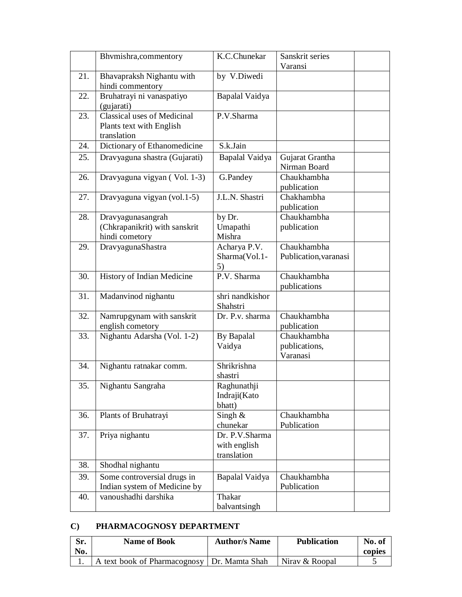|     | Bhymishra, commentory                                                  | K.C.Chunekar                                  | Sanskrit series                          |
|-----|------------------------------------------------------------------------|-----------------------------------------------|------------------------------------------|
|     |                                                                        |                                               | Varansi                                  |
| 21. | Bhavapraksh Nighantu with<br>hindi commentory                          | by V.Diwedi                                   |                                          |
| 22. | Bruhatrayi ni vanaspatiyo<br>(gujarati)                                | Bapalal Vaidya                                |                                          |
| 23. | Classical uses of Medicinal<br>Plants text with English<br>translation | P.V.Sharma                                    |                                          |
| 24. | Dictionary of Ethanomedicine                                           | S.k.Jain                                      |                                          |
| 25. | Dravyaguna shastra (Gujarati)                                          | Bapalal Vaidya                                | Gujarat Grantha<br>Nirman Board          |
| 26. | Dravyaguna vigyan (Vol. 1-3)                                           | G.Pandey                                      | Chaukhambha<br>publication               |
| 27. | Dravyaguna vigyan (vol.1-5)                                            | J.L.N. Shastri                                | Chakhambha<br>publication                |
| 28. | Dravyagunasangrah<br>(Chkrapanikrit) with sanskrit<br>hindi cometory   | by Dr.<br>Umapathi<br>Mishra                  | Chaukhambha<br>publication               |
| 29. | DravyagunaShastra                                                      | Acharya P.V.<br>Sharma(Vol.1-<br>5)           | Chaukhambha<br>Publication, varanasi     |
| 30. | History of Indian Medicine                                             | P.V. Sharma                                   | Chaukhambha<br>publications              |
| 31. | Madanvinod nighantu                                                    | shri nandkishor<br>Shahstri                   |                                          |
| 32. | Namrupgynam with sanskrit<br>english cometory                          | Dr. P.v. sharma                               | Chaukhambha<br>publication               |
| 33. | Nighantu Adarsha (Vol. 1-2)                                            | <b>By Bapalal</b><br>Vaidya                   | Chaukhambha<br>publications,<br>Varanasi |
| 34. | Nighantu ratnakar comm.                                                | Shrikrishna<br>shastri                        |                                          |
| 35. | Nighantu Sangraha                                                      | Raghunathji<br>Indraji(Kato<br>bhatt)         |                                          |
| 36. | Plants of Bruhatrayi                                                   | Singh $\&$<br>chunekar                        | Chaukhambha<br>Publication               |
| 37. | Priya nighantu                                                         | Dr. P.V.Sharma<br>with english<br>translation |                                          |
| 38. | Shodhal nighantu                                                       |                                               |                                          |
| 39. | Some controversial drugs in<br>Indian system of Medicine by            | Bapalal Vaidya                                | Chaukhambha<br>Publication               |
| 40. | vanoushadhi darshika                                                   | Thakar<br>balvantsingh                        |                                          |

#### **C) PHARMACOGNOSY DEPARTMENT**

| Sr.<br>No. | <b>Name of Book</b>                         | <b>Author</b> /s Name | <b>Publication</b> | No. of<br>copies |
|------------|---------------------------------------------|-----------------------|--------------------|------------------|
|            | text book of Pharmacognosy   Dr. Mamta Shah |                       | Niray & Roopal     |                  |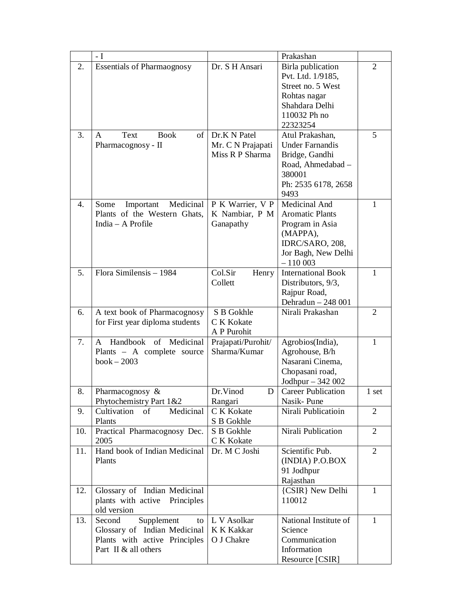|     | - I                                                             |                                         | Prakashan                                                                                                                 |                |
|-----|-----------------------------------------------------------------|-----------------------------------------|---------------------------------------------------------------------------------------------------------------------------|----------------|
| 2.  | <b>Essentials of Pharmaognosy</b>                               | Dr. S H Ansari                          | Birla publication<br>Pvt. Ltd. 1/9185,<br>Street no. 5 West<br>Rohtas nagar<br>Shahdara Delhi<br>110032 Ph no<br>22323254 | 2              |
| 3.  | of  <br>Text<br><b>Book</b><br>A                                | Dr.K N Patel                            | Atul Prakashan,                                                                                                           | 5              |
|     | Pharmacognosy - II                                              | Mr. C N Prajapati<br>Miss R P Sharma    | <b>Under Farnandis</b>                                                                                                    |                |
|     |                                                                 |                                         | Bridge, Gandhi<br>Road, Ahmedabad -<br>380001<br>Ph: 2535 6178, 2658<br>9493                                              |                |
| 4.  | Medicinal<br>Important<br>Some                                  | P K Warrier, V P                        | Medicinal And                                                                                                             | 1              |
|     | Plants of the Western Ghats,                                    | K Nambiar, P M                          | <b>Aromatic Plants</b>                                                                                                    |                |
|     | India - A Profile                                               | Ganapathy                               | Program in Asia<br>(MAPPA),                                                                                               |                |
|     |                                                                 |                                         | IDRC/SARO, 208,                                                                                                           |                |
|     |                                                                 |                                         | Jor Bagh, New Delhi                                                                                                       |                |
|     |                                                                 |                                         | $-110003$                                                                                                                 |                |
| 5.  | Flora Similensis - 1984                                         | Col.Sir<br>Henry                        | <b>International Book</b>                                                                                                 | 1              |
|     |                                                                 | Collett                                 | Distributors, 9/3,<br>Rajpur Road,                                                                                        |                |
|     |                                                                 |                                         | Dehradun - 248 001                                                                                                        |                |
| 6.  | A text book of Pharmacognosy<br>for First year diploma students | S B Gokhle<br>C K Kokate<br>A P Purohit | Nirali Prakashan                                                                                                          | 2              |
| 7.  | Medicinal<br>Handbook<br>of<br>A                                | Prajapati/Purohit/                      | Agrobios(India),                                                                                                          | 1              |
|     | Plants - A complete source                                      | Sharma/Kumar                            | Agrohouse, B/h                                                                                                            |                |
|     | $book - 2003$                                                   |                                         | Nasarani Cinema,<br>Chopasani road,                                                                                       |                |
|     |                                                                 |                                         | Jodhpur $-342002$                                                                                                         |                |
| 8.  | Pharmacognosy &                                                 | Dr. Vinod<br>D                          | <b>Career Publication</b>                                                                                                 | 1 set          |
|     | Phytochemistry Part 1&2                                         | Rangari                                 | Nasik-Pune                                                                                                                |                |
| 9.  | Medicinal<br>Cultivation<br>of                                  | C K Kokate                              | Nirali Publicatioin                                                                                                       | $\overline{2}$ |
| 10. | Plants<br>Practical Pharmacognosy Dec.                          | S B Gokhle<br>S B Gokhle                | Nirali Publication                                                                                                        | 2              |
|     | 2005                                                            | C K Kokate                              |                                                                                                                           |                |
| 11. | Hand book of Indian Medicinal                                   | Dr. M C Joshi                           | Scientific Pub.                                                                                                           | 2              |
|     | Plants                                                          |                                         | (INDIA) P.O.BOX                                                                                                           |                |
|     |                                                                 |                                         | 91 Jodhpur<br>Rajasthan                                                                                                   |                |
| 12. | Glossary of Indian Medicinal                                    |                                         | {CSIR} New Delhi                                                                                                          | 1              |
|     | plants with active<br>Principles<br>old version                 |                                         | 110012                                                                                                                    |                |
| 13. | Second<br>Supplement<br>to                                      | L V Asolkar                             | National Institute of                                                                                                     | $\mathbf{1}$   |
|     | Glossary of Indian Medicinal                                    | K K Kakkar                              | Science                                                                                                                   |                |
|     | Plants with active Principles                                   | O J Chakre                              | Communication                                                                                                             |                |
|     | Part II & all others                                            |                                         | Information<br>Resource [CSIR]                                                                                            |                |
|     |                                                                 |                                         |                                                                                                                           |                |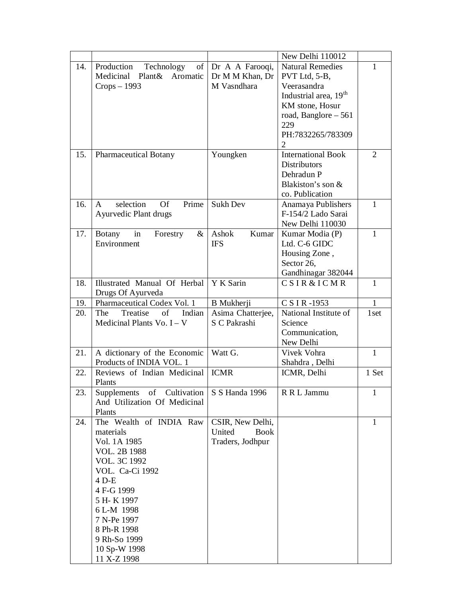|     |                                                       |                                         | New Delhi 110012                         |                |
|-----|-------------------------------------------------------|-----------------------------------------|------------------------------------------|----------------|
| 14. | Production<br>Technology<br>Medicinal Plant& Aromatic | of   Dr A A Farooqi,<br>Dr M M Khan, Dr | <b>Natural Remedies</b><br>PVT Ltd, 5-B, | 1              |
|     | $Crops - 1993$                                        | M Vasndhara                             | Veerasandra                              |                |
|     |                                                       |                                         | Industrial area, 19 <sup>th</sup>        |                |
|     |                                                       |                                         | KM stone, Hosur                          |                |
|     |                                                       |                                         | road, Banglore $-561$                    |                |
|     |                                                       |                                         | 229                                      |                |
|     |                                                       |                                         | PH:7832265/783309                        |                |
|     |                                                       |                                         | $\overline{2}$                           |                |
| 15. | <b>Pharmaceutical Botany</b>                          | Youngken                                | <b>International Book</b>                | $\overline{2}$ |
|     |                                                       |                                         | <b>Distributors</b>                      |                |
|     |                                                       |                                         | Dehradun P                               |                |
|     |                                                       |                                         | Blakiston's son &                        |                |
|     |                                                       |                                         | co. Publication                          |                |
| 16. | selection<br><b>Of</b><br>Prime<br>A                  | Sukh Dev                                | Anamaya Publishers                       | 1              |
|     | Ayurvedic Plant drugs                                 |                                         | F-154/2 Lado Sarai                       |                |
|     |                                                       |                                         | New Delhi 110030                         |                |
| 17. | <b>Botany</b><br>in<br>Forestry<br>&                  | Ashok<br>Kumar                          | Kumar Modia (P)                          | 1              |
|     | Environment                                           | <b>IFS</b>                              | Ltd. C-6 GIDC                            |                |
|     |                                                       |                                         | Housing Zone,                            |                |
|     |                                                       |                                         | Sector 26,                               |                |
|     |                                                       |                                         | Gandhinagar 382044                       |                |
| 18. | Illustrated Manual Of Herbal                          | Y K Sarin                               | <b>CSIR&amp;ICMR</b>                     | 1              |
|     | Drugs Of Ayurveda                                     |                                         |                                          |                |
| 19. | Pharmaceutical Codex Vol. 1                           | <b>B</b> Mukherji                       | C S I R -1953                            | $\mathbf{1}$   |
| 20. | Treatise<br>Indian<br>The                             | Asima Chatterjee,                       | National Institute of                    | 1set           |
|     | Medicinal Plants Vo. $I - V$                          | S C Pakrashi                            | Science                                  |                |
|     |                                                       |                                         | Communication,                           |                |
|     |                                                       |                                         | New Delhi                                |                |
| 21. | A dictionary of the Economic                          | Watt G.                                 | Vivek Vohra                              | $\mathbf{1}$   |
|     | Products of INDIA VOL. 1                              |                                         | Shahdra, Delhi                           |                |
| 22. | Reviews of Indian Medicinal                           | <b>ICMR</b>                             | ICMR, Delhi                              | 1 Set          |
|     | Plants                                                |                                         |                                          |                |
| 23. | Supplements of Cultivation                            | S S Handa 1996                          | R R L Jammu                              | 1              |
|     | And Utilization Of Medicinal                          |                                         |                                          |                |
|     | Plants                                                |                                         |                                          |                |
| 24. | The Wealth of INDIA Raw                               | CSIR, New Delhi,                        |                                          | 1              |
|     | materials                                             | United<br><b>Book</b>                   |                                          |                |
|     | Vol. 1A 1985                                          | Traders, Jodhpur                        |                                          |                |
|     | <b>VOL. 2B 1988</b>                                   |                                         |                                          |                |
|     | VOL. 3C 1992                                          |                                         |                                          |                |
|     | VOL. Ca-Ci 1992                                       |                                         |                                          |                |
|     | 4 D-E                                                 |                                         |                                          |                |
|     | 4 F-G 1999                                            |                                         |                                          |                |
|     | 5 H-K 1997                                            |                                         |                                          |                |
|     | 6 L-M 1998                                            |                                         |                                          |                |
|     | 7 N-Pe 1997                                           |                                         |                                          |                |
|     | 8 Ph-R 1998                                           |                                         |                                          |                |
|     | 9 Rh-So 1999                                          |                                         |                                          |                |
|     | 10 Sp-W 1998                                          |                                         |                                          |                |
|     | 11 X-Z 1998                                           |                                         |                                          |                |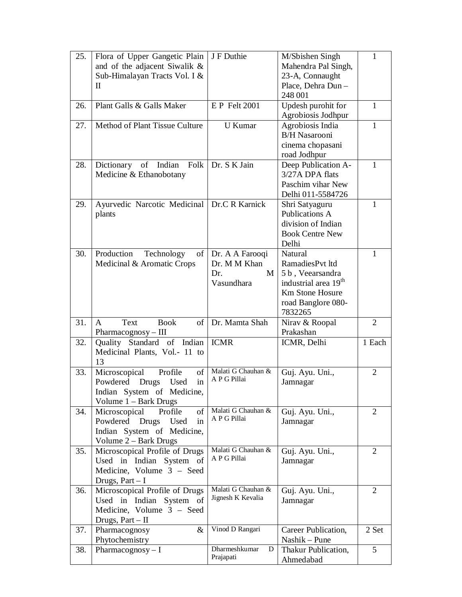| 25. | Flora of Upper Gangetic Plain                                                                                                  | J F Duthie                      | M/Sbishen Singh                         | 1              |
|-----|--------------------------------------------------------------------------------------------------------------------------------|---------------------------------|-----------------------------------------|----------------|
|     | and of the adjacent Siwalik &                                                                                                  |                                 | Mahendra Pal Singh,                     |                |
|     | Sub-Himalayan Tracts Vol. I &                                                                                                  |                                 | 23-A, Connaught                         |                |
|     | П                                                                                                                              |                                 | Place, Dehra Dun-                       |                |
|     |                                                                                                                                |                                 | 248 001                                 |                |
| 26. | Plant Galls & Galls Maker                                                                                                      | <b>E P Felt 2001</b>            | Updesh purohit for                      | 1              |
|     |                                                                                                                                |                                 | Agrobiosis Jodhpur                      |                |
| 27. | Method of Plant Tissue Culture                                                                                                 | U Kumar                         | Agrobiosis India                        | $\mathbf{1}$   |
|     |                                                                                                                                |                                 | <b>B/H Nasarooni</b>                    |                |
|     |                                                                                                                                |                                 | cinema chopasani                        |                |
|     |                                                                                                                                |                                 | road Jodhpur                            |                |
| 28. | Dictionary of Indian<br>Folk                                                                                                   | Dr. S K Jain                    | Deep Publication A-                     | 1              |
|     | Medicine & Ethanobotany                                                                                                        |                                 | 3/27A DPA flats                         |                |
|     |                                                                                                                                |                                 | Paschim vihar New                       |                |
|     |                                                                                                                                |                                 | Delhi 011-5584726                       |                |
| 29. | Ayurvedic Narcotic Medicinal   Dr.C R Karnick                                                                                  |                                 | Shri Satyaguru<br><b>Publications A</b> | 1              |
|     | plants                                                                                                                         |                                 | division of Indian                      |                |
|     |                                                                                                                                |                                 | <b>Book Centre New</b>                  |                |
|     |                                                                                                                                |                                 | Delhi                                   |                |
| 30. | Production<br>of<br>Technology                                                                                                 | Dr. A A Farooqi                 | Natural                                 | 1              |
|     | Medicinal & Aromatic Crops                                                                                                     | Dr. M M Khan                    | RamadiesPvt ltd                         |                |
|     |                                                                                                                                | M<br>Dr.                        | 5 b, Veearsandra                        |                |
|     |                                                                                                                                | Vasundhara                      | industrial area 19 <sup>th</sup>        |                |
|     |                                                                                                                                |                                 | <b>Km Stone Hosure</b>                  |                |
|     |                                                                                                                                |                                 | road Banglore 080-                      |                |
|     |                                                                                                                                |                                 | 7832265                                 |                |
| 31. | of<br>Text<br><b>Book</b><br>A                                                                                                 | Dr. Mamta Shah                  | Nirav & Roopal                          | 2              |
|     | Pharmacognosy - III                                                                                                            |                                 | Prakashan                               |                |
| 32. | Quality Standard of Indian                                                                                                     | <b>ICMR</b>                     | ICMR, Delhi                             | 1 Each         |
|     | Medicinal Plants, Vol.- 11 to                                                                                                  |                                 |                                         |                |
|     | 13                                                                                                                             |                                 |                                         |                |
| 33. | $% \left( \left( \mathcal{A},\mathcal{A}\right) \right) =\left( \mathcal{A},\mathcal{A}\right)$ of<br>Microscopical<br>Profile | Malati G Chauhan &              | Guj. Ayu. Uni.,                         | 2              |
|     | in<br>Powdered<br>Used<br>Drugs                                                                                                | A P G Pillai                    | Jamnagar                                |                |
|     | Indian System of Medicine,                                                                                                     |                                 |                                         |                |
|     | Volume $1 -$ Bark Drugs                                                                                                        |                                 |                                         |                |
| 34. | Microscopical<br>of<br>Profile                                                                                                 | Malati G Chauhan &              | Guj. Ayu. Uni.,                         | $\overline{2}$ |
|     | Powdered Drugs<br>Used<br>in                                                                                                   | A P G Pillai                    | Jamnagar                                |                |
|     | Indian System of Medicine,                                                                                                     |                                 |                                         |                |
|     | Volume 2 – Bark Drugs                                                                                                          |                                 |                                         |                |
| 35. | Microscopical Profile of Drugs                                                                                                 | Malati G Chauhan &              | Guj. Ayu. Uni.,                         | 2              |
|     | Used in Indian System of                                                                                                       | A P G Pillai                    | Jamnagar                                |                |
|     | Medicine, Volume 3 - Seed                                                                                                      |                                 |                                         |                |
|     | Drugs, $Part - I$                                                                                                              |                                 |                                         |                |
| 36. | Microscopical Profile of Drugs                                                                                                 | Malati G Chauhan &              | Guj. Ayu. Uni.,                         | $\overline{2}$ |
|     | Used in Indian<br>System of                                                                                                    | Jignesh K Kevalia               | Jamnagar                                |                |
|     | Medicine, Volume 3 - Seed                                                                                                      |                                 |                                         |                |
|     | Drugs, Part - II                                                                                                               |                                 |                                         |                |
| 37. | Pharmacognosy<br>$\&$                                                                                                          | Vinod D Rangari                 | Career Publication,                     | 2 Set          |
|     | Phytochemistry                                                                                                                 |                                 | Nashik - Pune                           |                |
| 38. | Pharmacognosy $- I$                                                                                                            | Dharmeshkumar<br>D<br>Prajapati | Thakur Publication,                     | 5              |
|     |                                                                                                                                |                                 | Ahmedabad                               |                |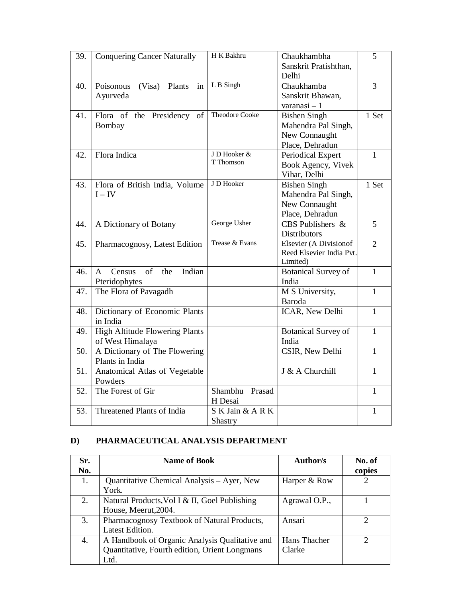| 39. | <b>Conquering Cancer Naturally</b>                | H K Bakhru            | Chaukhambha                   | 5              |
|-----|---------------------------------------------------|-----------------------|-------------------------------|----------------|
|     |                                                   |                       | Sanskrit Pratishthan,         |                |
|     |                                                   |                       | Delhi                         |                |
| 40. | Poisonous<br>(Visa)<br>Plants<br>in               | L B Singh             | Chaukhamba                    | $\overline{3}$ |
|     | Ayurveda                                          |                       | Sanskrit Bhawan,              |                |
|     |                                                   |                       | $varanasi-1$                  |                |
| 41. | Flora of the Presidency of                        | <b>Theodore Cooke</b> | <b>Bishen Singh</b>           | 1 Set          |
|     | Bombay                                            |                       | Mahendra Pal Singh,           |                |
|     |                                                   |                       | New Connaught                 |                |
|     |                                                   |                       | Place, Dehradun               |                |
| 42. | Flora Indica                                      | J D Hooker &          | Periodical Expert             | $\mathbf{1}$   |
|     |                                                   | T Thomson             | Book Agency, Vivek            |                |
|     |                                                   |                       | Vihar, Delhi                  |                |
| 43. | Flora of British India, Volume                    | J D Hooker            | <b>Bishen Singh</b>           | 1 Set          |
|     | $I - IV$                                          |                       | Mahendra Pal Singh,           |                |
|     |                                                   |                       | New Connaught                 |                |
|     |                                                   |                       | Place, Dehradun               |                |
| 44. | A Dictionary of Botany                            | George Usher          | $\overline{CBS}$ Publishers & | 5              |
|     |                                                   |                       | <b>Distributors</b>           |                |
| 45. | Pharmacognosy, Latest Edition                     | Trease & Evans        | <b>Elsevier (A Divisionof</b> | $\overline{2}$ |
|     |                                                   |                       | Reed Elsevier India Pvt.      |                |
|     |                                                   |                       | Limited)                      |                |
| 46. | Indian<br>Census<br>of<br>the<br>$\mathsf{A}$     |                       | <b>Botanical Survey of</b>    | $\mathbf{1}$   |
|     | Pteridophytes                                     |                       | India                         | $\mathbf{1}$   |
| 47. | The Flora of Pavagadh                             |                       | M S University,               |                |
|     |                                                   |                       | Baroda                        | $\mathbf{1}$   |
| 48. | Dictionary of Economic Plants                     |                       | ICAR, New Delhi               |                |
|     | in India<br><b>High Altitude Flowering Plants</b> |                       |                               | $\mathbf{1}$   |
| 49. |                                                   |                       | <b>Botanical Survey of</b>    |                |
| 50. | of West Himalaya<br>A Dictionary of The Flowering |                       | India<br>CSIR, New Delhi      | $\mathbf{1}$   |
|     | Plants in India                                   |                       |                               |                |
| 51. | Anatomical Atlas of Vegetable                     |                       | J & A Churchill               | $\mathbf{1}$   |
|     | Powders                                           |                       |                               |                |
| 52. | The Forest of Gir                                 | Shambhu<br>Prasad     |                               | $\mathbf{1}$   |
|     |                                                   | H Desai               |                               |                |
| 53. | Threatened Plants of India                        | S K Jain & A R K      |                               | 1              |
|     |                                                   | Shastry               |                               |                |
|     |                                                   |                       |                               |                |

#### **D) PHARMACEUTICAL ANALYSIS DEPARTMENT**

| Sr. | <b>Name of Book</b>                            | Author/s      | No. of                |
|-----|------------------------------------------------|---------------|-----------------------|
| No. |                                                |               | copies                |
| 1.  | Quantitative Chemical Analysis – Ayer, New     | Harper & Row  | $\mathcal{D}_{\cdot}$ |
|     | York.                                          |               |                       |
| 2.  | Natural Products, Vol I & II, Goel Publishing  | Agrawal O.P., |                       |
|     | House, Meerut, 2004.                           |               |                       |
| 3.  | Pharmacognosy Textbook of Natural Products,    | Ansari        |                       |
|     | Latest Edition.                                |               |                       |
| 4.  | A Handbook of Organic Analysis Qualitative and | Hans Thacher  |                       |
|     | Quantitative, Fourth edition, Orient Longmans  | Clarke        |                       |
|     | Ltd.                                           |               |                       |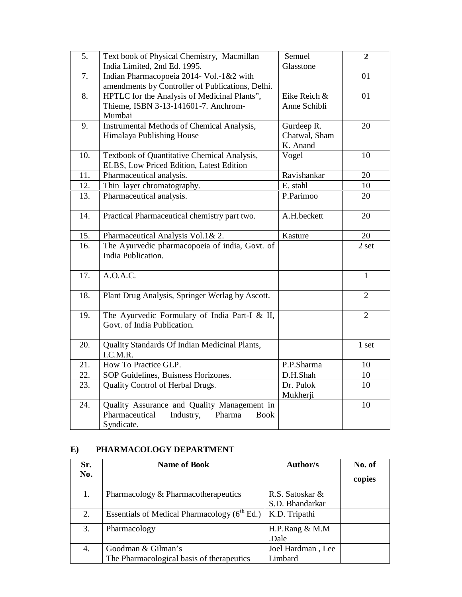| 5.  | Text book of Physical Chemistry, Macmillan<br>India Limited, 2nd Ed. 1995.                                        | Semuel<br>Glasstone                     | $\overline{2}$ |
|-----|-------------------------------------------------------------------------------------------------------------------|-----------------------------------------|----------------|
| 7.  | Indian Pharmacopoeia 2014- Vol.-1&2 with                                                                          |                                         | 01             |
|     | amendments by Controller of Publications, Delhi.                                                                  |                                         |                |
| 8.  | HPTLC for the Analysis of Medicinal Plants",<br>Thieme, ISBN 3-13-141601-7. Anchrom-<br>Mumbai                    | Eike Reich &<br>Anne Schibli            | 01             |
| 9.  | Instrumental Methods of Chemical Analysis,<br>Himalaya Publishing House                                           | Gurdeep R.<br>Chatwal, Sham<br>K. Anand | 20             |
| 10. | Textbook of Quantitative Chemical Analysis,<br>ELBS, Low Priced Edition, Latest Edition                           | Vogel                                   | 10             |
| 11. | Pharmaceutical analysis.                                                                                          | Ravishankar                             | 20             |
| 12. | Thin layer chromatography.                                                                                        | E. stahl                                | 10             |
| 13. | Pharmaceutical analysis.                                                                                          | P.Parimoo                               | 20             |
| 14. | Practical Pharmaceutical chemistry part two.                                                                      | A.H.beckett                             | 20             |
| 15. | Pharmaceutical Analysis Vol.1& 2.                                                                                 | Kasture                                 | 20             |
| 16. | The Ayurvedic pharmacopoeia of india, Govt. of<br>India Publication.                                              |                                         | 2 set          |
| 17. | A.O.A.C.                                                                                                          |                                         | $\mathbf{1}$   |
| 18. | Plant Drug Analysis, Springer Werlag by Ascott.                                                                   |                                         | $\overline{2}$ |
| 19. | The Ayurvedic Formulary of India Part-I & II,<br>Govt. of India Publication.                                      |                                         | $\overline{2}$ |
| 20. | Quality Standards Of Indian Medicinal Plants,<br>I.C.M.R.                                                         |                                         | 1 set          |
| 21. | How To Practice GLP.                                                                                              | P.P.Sharma                              | 10             |
| 22. | SOP Guidelines, Buisness Horizones.                                                                               | D.H.Shah                                | 10             |
| 23. | Quality Control of Herbal Drugs.                                                                                  | Dr. Pulok<br>Mukherji                   | 10             |
| 24. | Quality Assurance and Quality Management in<br>Pharmaceutical<br>Industry,<br>Pharma<br><b>Book</b><br>Syndicate. |                                         | 10             |

#### **E) PHARMACOLOGY DEPARTMENT**

| Sr. | <b>Name of Book</b>                               | Author/s          | No. of |
|-----|---------------------------------------------------|-------------------|--------|
| No. |                                                   |                   | copies |
| 1.  | Pharmacology & Pharmacotherapeutics               | R.S. Satoskar &   |        |
|     |                                                   | S.D. Bhandarkar   |        |
| 2.  | Essentials of Medical Pharmacology $(6^{th}$ Ed.) | K.D. Tripathi     |        |
| 3.  | Pharmacology                                      | H.P.Rang $& M.M$  |        |
|     |                                                   | Dale.             |        |
| 4.  | Goodman & Gilman's                                | Joel Hardman, Lee |        |
|     | The Pharmacological basis of therapeutics         | Limbard           |        |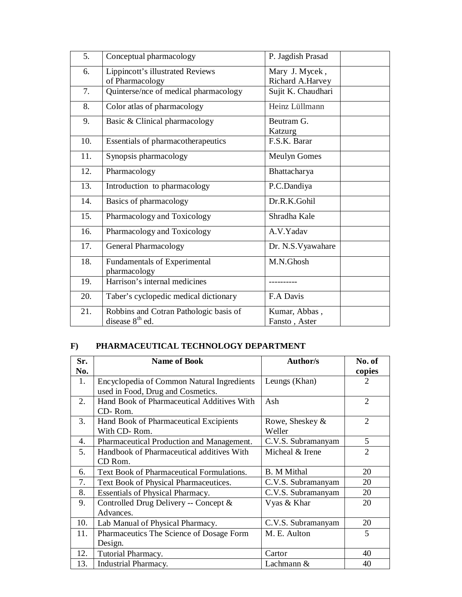| 5.  | Conceptual pharmacology                                     | P. Jagdish Prasad                  |
|-----|-------------------------------------------------------------|------------------------------------|
| 6.  | Lippincott's illustrated Reviews<br>of Pharmacology         | Mary J. Mycek,<br>Richard A.Harvey |
| 7.  | Quinterse/nce of medical pharmacology                       | Sujit K. Chaudhari                 |
| 8.  | Color atlas of pharmacology                                 | Heinz Lüllmann                     |
| 9.  | Basic & Clinical pharmacology                               | Beutram G.<br>Katzurg              |
| 10. | Essentials of pharmacotherapeutics                          | F.S.K. Barar                       |
| 11. | Synopsis pharmacology                                       | <b>Meulyn Gomes</b>                |
| 12. | Pharmacology                                                | Bhattacharya                       |
| 13. | Introduction to pharmacology                                | P.C.Dandiya                        |
| 14. | Basics of pharmacology                                      | Dr.R.K.Gohil                       |
| 15. | Pharmacology and Toxicology                                 | Shradha Kale                       |
| 16. | Pharmacology and Toxicology                                 | A.V.Yadav                          |
| 17. | <b>General Pharmacology</b>                                 | Dr. N.S. Vyawahare                 |
| 18. | <b>Fundamentals of Experimental</b><br>pharmacology         | M.N.Ghosh                          |
| 19. | Harrison's internal medicines                               |                                    |
| 20. | Taber's cyclopedic medical dictionary                       | F.A Davis                          |
| 21. | Robbins and Cotran Pathologic basis of<br>disease $8th$ ed. | Kumar, Abbas,<br>Fansto, Aster     |

## **F) PHARMACEUTICAL TECHNOLOGY DEPARTMENT**

| Sr. | <b>Name of Book</b>                        | <b>Author/s</b>    | No. of         |
|-----|--------------------------------------------|--------------------|----------------|
| No. |                                            |                    | copies         |
| 1.  | Encyclopedia of Common Natural Ingredients | Leungs (Khan)      | $\mathfrak{D}$ |
|     | used in Food, Drug and Cosmetics.          |                    |                |
| 2.  | Hand Book of Pharmaceutical Additives With | Ash                | $\overline{2}$ |
|     | CD-Rom.                                    |                    |                |
| 3.  | Hand Book of Pharmaceutical Excipients     | Rowe, Sheskey &    | $\overline{2}$ |
|     | With CD-Rom.                               | Weller             |                |
| 4.  | Pharmaceutical Production and Management.  | C.V.S. Subramanyam | 5              |
| 5.  | Handbook of Pharmaceutical additives With  | Micheal & Irene    | $\overline{2}$ |
|     | CD Rom.                                    |                    |                |
| 6.  | Text Book of Pharmaceutical Formulations.  | <b>B.</b> M Mithal | 20             |
| 7.  | Text Book of Physical Pharmaceutices.      | C.V.S. Subramanyam | 20             |
| 8.  | <b>Essentials of Physical Pharmacy.</b>    | C.V.S. Subramanyam | 20             |
| 9.  | Controlled Drug Delivery -- Concept &      | Vyas & Khar        | 20             |
|     | Advances.                                  |                    |                |
| 10. | Lab Manual of Physical Pharmacy.           | C.V.S. Subramanyam | 20             |
| 11. | Pharmaceutics The Science of Dosage Form   | M. E. Aulton       | 5              |
|     | Design.                                    |                    |                |
| 12. | Tutorial Pharmacy.                         | Cartor             | 40             |
| 13. | Industrial Pharmacy.                       | Lachmann $&$       | 40             |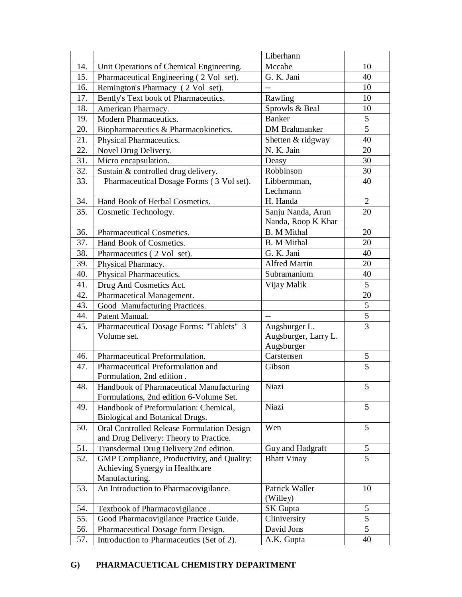|     |                                                                                      | Liberhann               |                |
|-----|--------------------------------------------------------------------------------------|-------------------------|----------------|
| 14. | Unit Operations of Chemical Engineering.                                             | Mccabe                  | 10             |
| 15. | Pharmaceutical Engineering (2 Vol set).                                              | G. K. Jani              | 40             |
| 16. | Remington's Pharmacy (2 Vol set).                                                    |                         | 10             |
| 17. | Bently's Text book of Pharmaceutics.                                                 | Rawling                 | 10             |
| 18. | American Pharmacy.                                                                   | Sprowls & Beal          | 10             |
| 19. | Modern Pharmaceutics.                                                                | <b>Banker</b>           | 5              |
| 20. | Biopharmaceutics & Pharmacokinetics.                                                 | <b>DM</b> Brahmanker    | 5              |
| 21. | Physical Pharmaceutics.                                                              | Shetten & ridgway       | 40             |
| 22. | Novel Drug Delivery.                                                                 | N. K. Jain              | 20             |
| 31. | Micro encapsulation.                                                                 | Deasy                   | 30             |
| 32. | Sustain & controlled drug delivery.                                                  | Robbinson               | 30             |
| 33. | Pharmaceutical Dosage Forms (3 Vol set).                                             | Libbermman,<br>Lechmann | 40             |
| 34. | Hand Book of Herbal Cosmetics.                                                       | H. Handa                | $\overline{2}$ |
| 35. | Cosmetic Technology.                                                                 | Sanju Nanda, Arun       | 20             |
|     |                                                                                      | Nanda, Roop K Khar      |                |
| 36. | Pharmaceutical Cosmetics.                                                            | <b>B.</b> M Mithal      | 20             |
| 37. | Hand Book of Cosmetics.                                                              | <b>B.</b> M Mithal      | 20             |
| 38. | Pharmaceutics (2 Vol set).                                                           | G. K. Jani              | 40             |
| 39. | Physical Pharmacy.                                                                   | Alfred Martin           | 20             |
| 40. | Physical Pharmaceutics.                                                              | Subramanium             | 40             |
| 41. | Drug And Cosmetics Act.                                                              | Vijay Malik             | 5              |
| 42. | Pharmacetical Management.                                                            |                         | 20             |
| 43. | Good Manufacturing Practices.                                                        |                         | 5              |
| 44. | Patent Manual.                                                                       | $-$                     | $\overline{5}$ |
| 45. | Pharmaceutical Dosage Forms: "Tablets" 3                                             | Augsburger L.           | $\overline{3}$ |
|     | Volume set.                                                                          | Augsburger, Larry L.    |                |
|     |                                                                                      | Augsburger              |                |
| 46. | Pharmaceutical Preformulation.                                                       | Carstensen              | 5              |
| 47. | Pharmaceutical Preformulation and<br>Formulation, 2nd edition.                       | Gibson                  | 5              |
| 48. | Handbook of Pharmaceutical Manufacturing                                             | Niazi                   | 5              |
|     | Formulations, 2nd edition 6-Volume Set.                                              |                         | 5              |
| 49. | Handbook of Preformulation: Chemical,                                                | Niazi                   |                |
| 50. | Biological and Botanical Drugs.                                                      | Wen                     | 5              |
|     | Oral Controlled Release Formulation Design<br>and Drug Delivery: Theory to Practice. |                         |                |
| 51. | Transdermal Drug Delivery 2nd edition.                                               | Guy and Hadgraft        | 5              |
| 52. | GMP Compliance, Productivity, and Quality:                                           | <b>Bhatt Vinay</b>      | $\overline{5}$ |
|     | Achieving Synergy in Healthcare                                                      |                         |                |
|     | Manufacturing.                                                                       |                         |                |
| 53. | An Introduction to Pharmacovigilance.                                                | Patrick Waller          | 10             |
|     |                                                                                      | (Willey)                |                |
| 54. | Textbook of Pharmacovigilance.                                                       | SK Gupta                | 5              |
| 55. | Good Pharmacovigilance Practice Guide.                                               | Cliniversity            | 5              |
| 56. | Pharmaceutical Dosage form Design.                                                   | David Jons              | 5              |
| 57. | Introduction to Pharmaceutics (Set of 2).                                            | A.K. Gupta              | 40             |

#### **G) PHARMACUETICAL CHEMISTRY DEPARTMENT**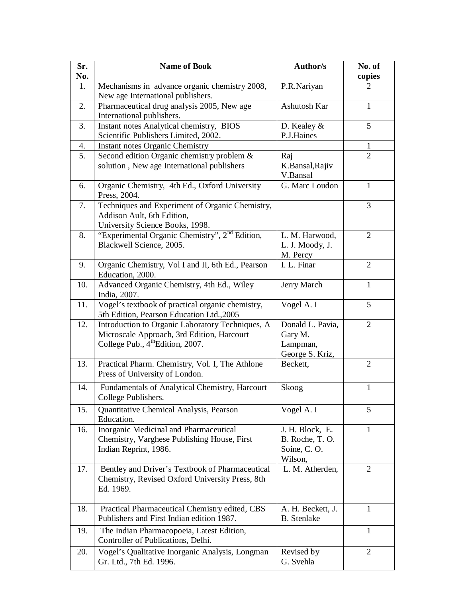| Sr.<br>No. | <b>Name of Book</b>                                                                                                                            | <b>Author/s</b>                                              | No. of<br>copies |
|------------|------------------------------------------------------------------------------------------------------------------------------------------------|--------------------------------------------------------------|------------------|
| 1.         | Mechanisms in advance organic chemistry 2008,<br>New age International publishers.                                                             | P.R.Nariyan                                                  | 2                |
| 2.         | Pharmaceutical drug analysis 2005, New age<br>International publishers.                                                                        | Ashutosh Kar                                                 | 1                |
| 3.         | Instant notes Analytical chemistry, BIOS<br>Scientific Publishers Limited, 2002.                                                               | D. Kealey $\&$<br>P.J.Haines                                 | 5                |
| 4.         | <b>Instant notes Organic Chemistry</b>                                                                                                         |                                                              | 1                |
| 5.         | Second edition Organic chemistry problem &<br>solution, New age International publishers                                                       | Raj<br>K.Bansal, Rajiv<br>V.Bansal                           | $\overline{2}$   |
| 6.         | Organic Chemistry, 4th Ed., Oxford University<br>Press, 2004.                                                                                  | G. Marc Loudon                                               | $\mathbf{1}$     |
| 7.         | Techniques and Experiment of Organic Chemistry,<br>Addison Ault, 6th Edition,<br>University Science Books, 1998.                               |                                                              | 3                |
| 8.         | "Experimental Organic Chemistry", 2 <sup>nd</sup> Edition,<br>Blackwell Science, 2005.                                                         | L. M. Harwood,<br>L. J. Moody, J.<br>M. Percy                | $\overline{2}$   |
| 9.         | Organic Chemistry, Vol I and II, 6th Ed., Pearson<br>Education, 2000.                                                                          | I. L. Finar                                                  | $\overline{2}$   |
| 10.        | Advanced Organic Chemistry, 4th Ed., Wiley<br>India, 2007.                                                                                     | Jerry March                                                  | 1                |
| 11.        | Vogel's textbook of practical organic chemistry,<br>5th Edition, Pearson Education Ltd., 2005                                                  | Vogel A. I                                                   | 5                |
| 12.        | Introduction to Organic Laboratory Techniques, A<br>Microscale Approach, 3rd Edition, Harcourt<br>College Pub., 4 <sup>th</sup> Edition, 2007. | Donald L. Pavia,<br>Gary M.<br>Lampman,<br>George S. Kriz,   | 2                |
| 13.        | Practical Pharm. Chemistry, Vol. I, The Athlone<br>Press of University of London.                                                              | Beckett,                                                     | $\overline{2}$   |
| 14.        | Fundamentals of Analytical Chemistry, Harcourt<br>College Publishers.                                                                          | Skoog                                                        | 1                |
| 15.        | Quantitative Chemical Analysis, Pearson<br>Education.                                                                                          | Vogel A. I                                                   | 5                |
| 16.        | Inorganic Medicinal and Pharmaceutical<br>Chemistry, Varghese Publishing House, First<br>Indian Reprint, 1986.                                 | J. H. Block, E.<br>B. Roche, T. O.<br>Soine, C.O.<br>Wilson, | 1                |
| 17.        | Bentley and Driver's Textbook of Pharmaceutical<br>Chemistry, Revised Oxford University Press, 8th<br>Ed. 1969.                                | L. M. Atherden,                                              | 2                |
| 18.        | Practical Pharmaceutical Chemistry edited, CBS<br>Publishers and First Indian edition 1987.                                                    | A. H. Beckett, J.<br><b>B.</b> Stenlake                      | 1                |
| 19.        | The Indian Pharmacopoeia, Latest Edition,<br>Controller of Publications, Delhi.                                                                |                                                              | 1                |
| 20.        | Vogel's Qualitative Inorganic Analysis, Longman<br>Gr. Ltd., 7th Ed. 1996.                                                                     | Revised by<br>G. Svehla                                      | 2                |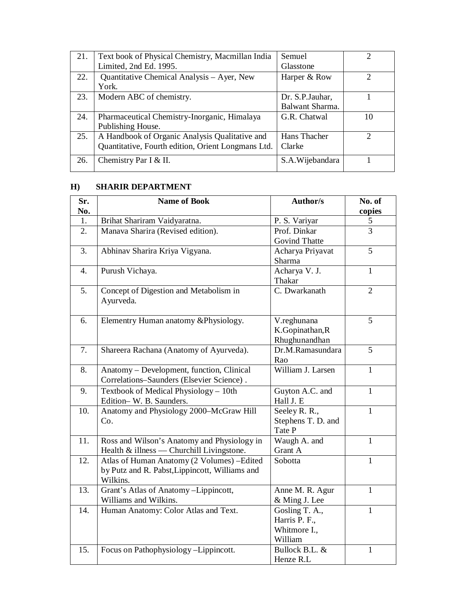| 21. | Text book of Physical Chemistry, Macmillan India   | Semuel          |                |
|-----|----------------------------------------------------|-----------------|----------------|
|     | Limited, 2nd Ed. 1995.                             | Glasstone       |                |
| 22. | Quantitative Chemical Analysis – Ayer, New         | Harper & Row    | $\mathfrak{D}$ |
|     | York.                                              |                 |                |
| 23. | Modern ABC of chemistry.                           | Dr. S.P.Jauhar, |                |
|     |                                                    | Balwant Sharma. |                |
| 24. | Pharmaceutical Chemistry-Inorganic, Himalaya       | G.R. Chatwal    | 10             |
|     | Publishing House.                                  |                 |                |
| 25. | A Handbook of Organic Analysis Qualitative and     | Hans Thacher    | 2              |
|     | Quantitative, Fourth edition, Orient Longmans Ltd. | Clarke          |                |
| 26. | Chemistry Par I & II.                              | S.A.Wijebandara |                |
|     |                                                    |                 |                |

## **H) SHARIR DEPARTMENT**

| Sr.<br>No. | <b>Name of Book</b>                                                                                       | <b>Author/s</b>                                            | No. of<br>copies |
|------------|-----------------------------------------------------------------------------------------------------------|------------------------------------------------------------|------------------|
| 1.         | Brihat Shariram Vaidyaratna.                                                                              | P. S. Variyar                                              | 5                |
| 2.         | Manava Sharira (Revised edition).                                                                         | Prof. Dinkar<br><b>Govind Thatte</b>                       | 3                |
| 3.         | Abhinav Sharira Kriya Vigyana.                                                                            | Acharya Priyavat<br>Sharma                                 | 5                |
| 4.         | Purush Vichaya.                                                                                           | Acharya V. J.<br>Thakar                                    | $\mathbf{1}$     |
| 5.         | Concept of Digestion and Metabolism in<br>Ayurveda.                                                       | C. Dwarkanath                                              | $\overline{2}$   |
| 6.         | Elementry Human anatomy &Physiology.                                                                      | V.reghunana<br>K.Gopinathan, R<br>Rhughunandhan            | 5                |
| 7.         | Shareera Rachana (Anatomy of Ayurveda).                                                                   | Dr.M.Ramasundara<br>Rao                                    | 5                |
| 8.         | Anatomy – Development, function, Clinical<br>Correlations-Saunders (Elsevier Science).                    | William J. Larsen                                          | $\mathbf{1}$     |
| 9.         | Textbook of Medical Physiology - 10th<br>Edition-W. B. Saunders.                                          | Guyton A.C. and<br>Hall J. E                               | $\mathbf{1}$     |
| 10.        | Anatomy and Physiology 2000-McGraw Hill<br>Co.                                                            | Seeley R. R.,<br>Stephens T. D. and<br>Tate P              | $\mathbf{1}$     |
| 11.        | Ross and Wilson's Anatomy and Physiology in<br>Health & illness — Churchill Livingstone.                  | Waugh A. and<br>Grant A                                    | 1                |
| 12.        | Atlas of Human Anatomy (2 Volumes) - Edited<br>by Putz and R. Pabst, Lippincott, Williams and<br>Wilkins. | Sobotta                                                    | $\mathbf{1}$     |
| 13.        | Grant's Atlas of Anatomy-Lippincott,<br>Williams and Wilkins.                                             | Anne M. R. Agur<br>& Ming J. Lee                           | 1                |
| 14.        | Human Anatomy: Color Atlas and Text.                                                                      | Gosling T. A.,<br>Harris P. F.,<br>Whitmore I.,<br>William | $\mathbf{1}$     |
| 15.        | Focus on Pathophysiology - Lippincott.                                                                    | Bullock B.L. &<br>Henze R.L                                | $\mathbf{1}$     |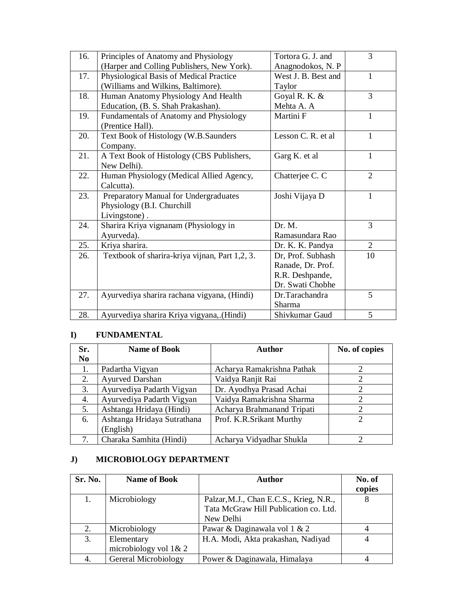| 16. | Principles of Anatomy and Physiology           | Tortora G. J. and   | 3              |
|-----|------------------------------------------------|---------------------|----------------|
|     | (Harper and Colling Publishers, New York).     | Anagnodokos, N. P   |                |
| 17. | Physiological Basis of Medical Practice        | West J. B. Best and | 1              |
|     | (Williams and Wilkins, Baltimore).             | Taylor              |                |
| 18. | Human Anatomy Physiology And Health            | Goyal R. K. &       | 3              |
|     | Education, (B. S. Shah Prakashan).             | Mehta A. A          |                |
| 19. | Fundamentals of Anatomy and Physiology         | Martini F           | $\mathbf{1}$   |
|     | (Prentice Hall).                               |                     |                |
| 20. | Text Book of Histology (W.B.Saunders           | Lesson C. R. et al. | 1              |
|     | Company.                                       |                     |                |
| 21. | A Text Book of Histology (CBS Publishers,      | Garg K. et al       | 1              |
|     | New Delhi).                                    |                     |                |
| 22. | Human Physiology (Medical Allied Agency,       | Chatterjee C. C     | $\overline{2}$ |
|     | Calcutta).                                     |                     |                |
| 23. | Preparatory Manual for Undergraduates          | Joshi Vijaya D      | $\mathbf{1}$   |
|     | Physiology (B.I. Churchill                     |                     |                |
|     | Livingstone).                                  |                     |                |
| 24. | Sharira Kriya vignanam (Physiology in          | Dr. M.              | 3              |
|     | Ayurveda).                                     | Ramasundara Rao     |                |
| 25. | Kriya sharira.                                 | Dr. K. K. Pandya    | $\overline{2}$ |
| 26. | Textbook of sharira-kriya vijnan, Part 1,2, 3. | Dr, Prof. Subhash   | 10             |
|     |                                                | Ranade, Dr. Prof.   |                |
|     |                                                | R.R. Deshpande,     |                |
|     |                                                | Dr. Swati Chobhe    |                |
| 27. | Ayurvediya sharira rachana vigyana, (Hindi)    | Dr.Tarachandra      | 5              |
|     |                                                | Sharma              |                |
| 28. | Ayurvediya sharira Kriya vigyana, (Hindi)      | Shivkumar Gaud      | 5              |

#### **I) FUNDAMENTAL**

| Sr.            | <b>Name of Book</b>         | Author                     | No. of copies               |
|----------------|-----------------------------|----------------------------|-----------------------------|
| N <sub>0</sub> |                             |                            |                             |
|                | Padartha Vigyan             | Acharya Ramakrishna Pathak | 2                           |
| 2.             | Ayurved Darshan             | Vaidya Ranjit Rai          | 2                           |
| 3.             | Ayurvediya Padarth Vigyan   | Dr. Ayodhya Prasad Achai   | 2                           |
| 4.             | Ayurvediya Padarth Vigyan   | Vaidya Ramakrishna Sharma  | 2                           |
| 5.             | Ashtanga Hridaya (Hindi)    | Acharya Brahmanand Tripati | $\mathcal{D}_{\mathcal{A}}$ |
| 6.             | Ashtanga Hridaya Sutrathana | Prof. K.R.Srikant Murthy   | 2                           |
|                | (English)                   |                            |                             |
| 7.             | Charaka Samhita (Hindi)     | Acharya Vidyadhar Shukla   | ∍                           |

## **J) MICROBIOLOGY DEPARTMENT**

| Sr. No. | <b>Name of Book</b>      | <b>Author</b>                           | No. of |
|---------|--------------------------|-----------------------------------------|--------|
|         |                          |                                         | copies |
| 1.      | Microbiology             | Palzar, M.J., Chan E.C.S., Krieg, N.R., |        |
|         |                          | Tata McGraw Hill Publication co. Ltd.   |        |
|         |                          | New Delhi                               |        |
| 2.      | Microbiology             | Pawar & Daginawala vol 1 & 2            |        |
| 3.      | Elementary               | H.A. Modi, Akta prakashan, Nadiyad      |        |
|         | microbiology vol $1 & 2$ |                                         |        |
| 4.      | Gereral Microbiology     | Power & Daginawala, Himalaya            |        |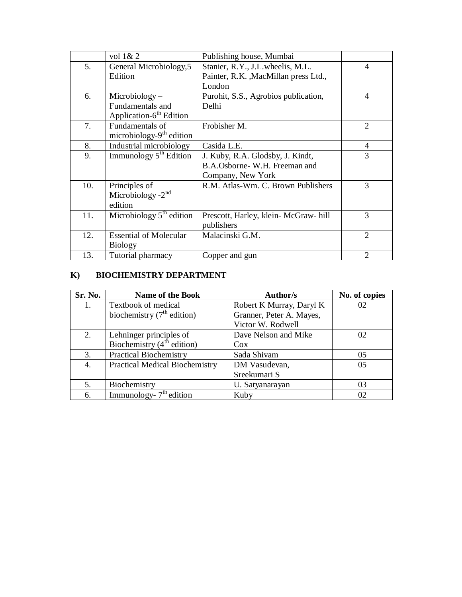|     | vol $1 & 2$                              | Publishing house, Mumbai             |                |
|-----|------------------------------------------|--------------------------------------|----------------|
| 5.  | General Microbiology, 5                  | Stanier, R.Y., J.L. wheelis, M.L.    | $\overline{4}$ |
|     | Edition                                  | Painter, R.K., MacMillan press Ltd., |                |
|     |                                          | London                               |                |
| 6.  | $Microbiology -$                         | Purohit, S.S., Agrobios publication, | 4              |
|     | Fundamentals and                         | Delhi                                |                |
|     | Application-6 <sup>th</sup> Edition      |                                      |                |
| 7.  | Fundamentals of                          | Frobisher M.                         | $\overline{2}$ |
|     | microbiology- $9th$ edition              |                                      |                |
| 8.  | Industrial microbiology                  | Casida L.E.                          | 4              |
| 9.  | Immunology $5th$ Edition                 | J. Kuby, R.A. Glodsby, J. Kindt,     | 3              |
|     |                                          | B.A.Osborne- W.H. Freeman and        |                |
|     |                                          | Company, New York                    |                |
| 10. | Principles of                            | R.M. Atlas-Wm. C. Brown Publishers   | 3              |
|     | Microbiology $-2^{nd}$                   |                                      |                |
|     | edition                                  |                                      |                |
| 11. | Microbiology $5^{\overline{th}}$ edition | Prescott, Harley, klein-McGraw-hill  | 3              |
|     |                                          | publishers                           |                |
| 12. | <b>Essential of Molecular</b>            | Malacinski G.M.                      | $\overline{2}$ |
|     | <b>Biology</b>                           |                                      |                |
| 13. | Tutorial pharmacy                        | Copper and gun                       | $\overline{2}$ |

## **K) BIOCHEMISTRY DEPARTMENT**

| Sr. No. | <b>Name of the Book</b>                                            | Author/s                 | No. of copies |
|---------|--------------------------------------------------------------------|--------------------------|---------------|
| 1.      | Textbook of medical                                                | Robert K Murray, Daryl K | 02            |
|         | biochemistry $(7th$ edition)                                       | Granner, Peter A. Mayes, |               |
|         |                                                                    | Victor W. Rodwell        |               |
| 2.      |                                                                    | Dave Nelson and Mike     | 02            |
|         | Lehninger principles of<br>Biochemistry ( $4^{\text{th}}$ edition) | $\cos$                   |               |
| 3.      | <b>Practical Biochemistry</b>                                      | Sada Shivam              | 05            |
| 4.      | <b>Practical Medical Biochemistry</b>                              | DM Vasudevan,            | 05            |
|         |                                                                    | Sreekumari S             |               |
| 5.      | Biochemistry                                                       | U. Satyanarayan          | 03            |
| 6.      | Immunology- $7th$ edition                                          | Kuby                     | 02            |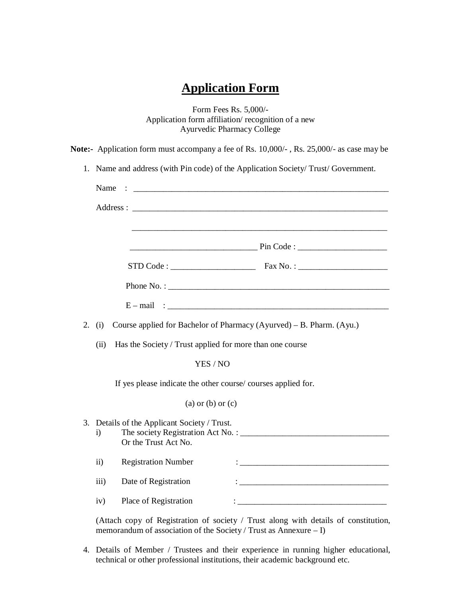## **Application Form**

Form Fees Rs. 5,000/- Application form affiliation/ recognition of a new Ayurvedic Pharmacy College

|    | Note:- Application form must accompany a fee of Rs. 10,000/-, Rs. 25,000/- as case may be                                                                                                                                                                                                                                  |
|----|----------------------------------------------------------------------------------------------------------------------------------------------------------------------------------------------------------------------------------------------------------------------------------------------------------------------------|
|    | 1. Name and address (with Pin code) of the Application Society/Trust/Government.                                                                                                                                                                                                                                           |
|    | Name<br>$\ddotsc$ . The contract of the contract of the contract of the contract of the contract of the contract of the contract of the contract of the contract of the contract of the contract of the contract of the contract of the                                                                                    |
|    |                                                                                                                                                                                                                                                                                                                            |
|    |                                                                                                                                                                                                                                                                                                                            |
|    | $STD Code:$ $\frac{1}{1}$ $\frac{1}{1}$ $\frac{1}{1}$ $\frac{1}{1}$ $\frac{1}{1}$ $\frac{1}{1}$ $\frac{1}{1}$ $\frac{1}{1}$ $\frac{1}{1}$ $\frac{1}{1}$ $\frac{1}{1}$ $\frac{1}{1}$ $\frac{1}{1}$ $\frac{1}{1}$ $\frac{1}{1}$ $\frac{1}{1}$ $\frac{1}{1}$ $\frac{1}{1}$ $\frac{1}{1}$ $\frac{1}{1}$ $\frac{1}{1}$ $\frac{$ |
|    |                                                                                                                                                                                                                                                                                                                            |
|    |                                                                                                                                                                                                                                                                                                                            |
| 2. | Course applied for Bachelor of Pharmacy (Ayurved) – B. Pharm. (Ayu.)<br>(i)                                                                                                                                                                                                                                                |
|    | Has the Society / Trust applied for more than one course<br>(ii)                                                                                                                                                                                                                                                           |
|    | YES / NO                                                                                                                                                                                                                                                                                                                   |
|    | If yes please indicate the other course/courses applied for.                                                                                                                                                                                                                                                               |
|    | $(a)$ or $(b)$ or $(c)$                                                                                                                                                                                                                                                                                                    |
|    | 3. Details of the Applicant Society / Trust.<br>$\ddot{i}$<br>Or the Trust Act No.                                                                                                                                                                                                                                         |
|    | <b>Registration Number</b><br>$\mathbf{ii}$<br><u> : la construction de la construction de la construction de la construction de la construction de la construction de la construction de la construction de la construction de la construction de la construction de la constr</u>                                        |
|    | Date of Registration<br>iii)<br>$\mathbf{:\ }$ . The contract of the contract of the contract of the contract of the contract of the contract of the contract of the contract of the contract of the contract of the contract of the contract of the contract of th                                                        |
|    | Place of Registration<br>iv)                                                                                                                                                                                                                                                                                               |

(Attach copy of Registration of society / Trust along with details of constitution, memorandum of association of the Society / Trust as Annexure – I)

4. Details of Member / Trustees and their experience in running higher educational, technical or other professional institutions, their academic background etc.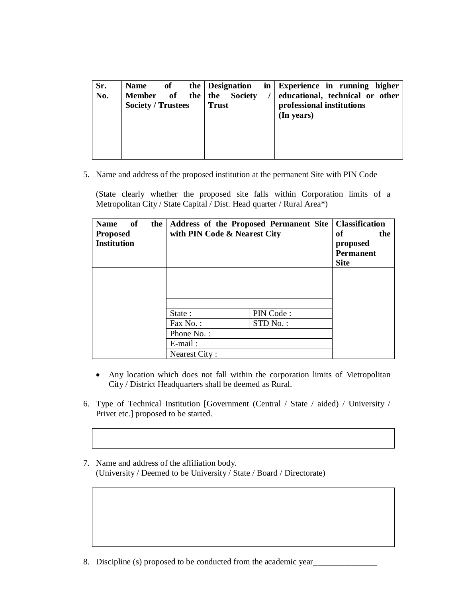| Sr.<br>No. | of<br><b>Name</b><br>Member of the the Society<br><b>Society / Trustees</b> | the Designation<br><b>Trust</b> | in Experience in running higher<br>educational, technical or other<br>professional institutions<br>(In years) |
|------------|-----------------------------------------------------------------------------|---------------------------------|---------------------------------------------------------------------------------------------------------------|
|            |                                                                             |                                 |                                                                                                               |

5. Name and address of the proposed institution at the permanent Site with PIN Code

(State clearly whether the proposed site falls within Corporation limits of a Metropolitan City / State Capital / Dist. Head quarter / Rural Area\*)

| <b>Name</b><br>of<br>the<br><b>Proposed</b><br><b>Institution</b> | Address of the Proposed Permanent Site<br>with PIN Code & Nearest City |           | <b>Classification</b><br>the<br>оf<br>proposed<br><b>Permanent</b><br><b>Site</b> |
|-------------------------------------------------------------------|------------------------------------------------------------------------|-----------|-----------------------------------------------------------------------------------|
|                                                                   | State:                                                                 | PIN Code: |                                                                                   |
|                                                                   | $Fax No.$ :<br>Phone No.:<br>$E$ -mail:<br>Nearest City:               | STD No.:  |                                                                                   |

- Any location which does not fall within the corporation limits of Metropolitan City / District Headquarters shall be deemed as Rural.
- 6. Type of Technical Institution [Government (Central / State / aided) / University / Privet etc.] proposed to be started.
- 7. Name and address of the affiliation body. (University / Deemed to be University / State / Board / Directorate)

8. Discipline (s) proposed to be conducted from the academic year\_\_\_\_\_\_\_\_\_\_\_\_\_\_\_\_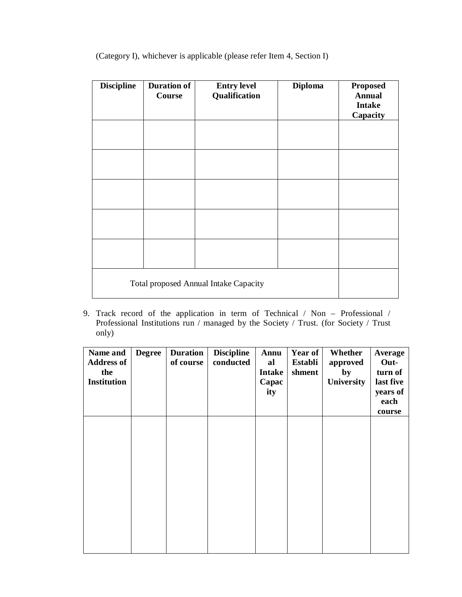| <b>Discipline</b>                     | <b>Duration of</b><br>Course | <b>Entry level</b><br>Qualification | <b>Diploma</b> | <b>Proposed</b><br><b>Annual</b><br><b>Intake</b><br>Capacity |
|---------------------------------------|------------------------------|-------------------------------------|----------------|---------------------------------------------------------------|
|                                       |                              |                                     |                |                                                               |
|                                       |                              |                                     |                |                                                               |
|                                       |                              |                                     |                |                                                               |
|                                       |                              |                                     |                |                                                               |
|                                       |                              |                                     |                |                                                               |
| Total proposed Annual Intake Capacity |                              |                                     |                |                                                               |

(Category I), whichever is applicable (please refer Item 4, Section I)

9. Track record of the application in term of Technical / Non – Professional / Professional Institutions run / managed by the Society / Trust. (for Society / Trust only)

| Name and<br><b>Address of</b><br>the<br><b>Institution</b> | <b>Degree</b> | <b>Duration</b><br>of course | <b>Discipline</b><br>conducted | Annu<br>al<br><b>Intake</b><br>Capac<br>ity | Year of<br>Establi<br>shment | Whether<br>approved<br>by<br>University | Average<br>Out-<br>turn of<br>last five<br>years of<br>each<br>course |
|------------------------------------------------------------|---------------|------------------------------|--------------------------------|---------------------------------------------|------------------------------|-----------------------------------------|-----------------------------------------------------------------------|
|                                                            |               |                              |                                |                                             |                              |                                         |                                                                       |
|                                                            |               |                              |                                |                                             |                              |                                         |                                                                       |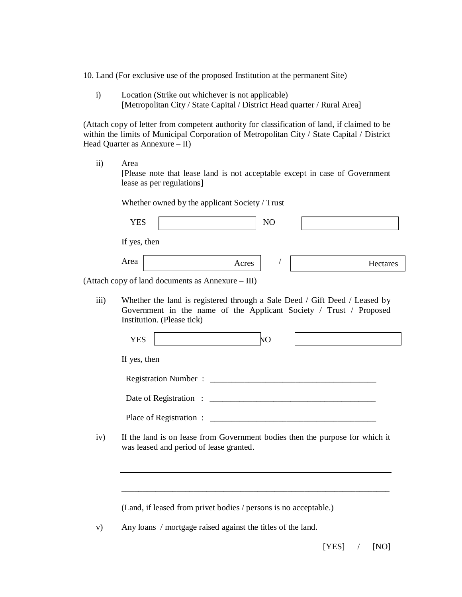10. Land (For exclusive use of the proposed Institution at the permanent Site)

i) Location (Strike out whichever is not applicable) [Metropolitan City / State Capital / District Head quarter / Rural Area]

(Attach copy of letter from competent authority for classification of land, if claimed to be within the limits of Municipal Corporation of Metropolitan City / State Capital / District Head Quarter as Annexure – II)

ii) Area [Please note that lease land is not acceptable except in case of Government lease as per regulations]

Whether owned by the applicant Society / Trust

| <b>YES</b>   |                                           | N <sub>O</sub> |          |
|--------------|-------------------------------------------|----------------|----------|
| If yes, then |                                           |                |          |
| Area         | Acres                                     |                | Hectares |
|              | copy of land documents as Annexure - III) |                |          |

iii) Whether the land is registered through a Sale Deed / Gift Deed / Leased by Government in the name of the Applicant Society / Trust / Proposed Institution. (Please tick)

|  |  | If yes, then |
|--|--|--------------|
|--|--|--------------|

(Attach

Registration Number : \_\_\_\_\_\_\_\_\_\_\_\_\_\_\_\_\_\_\_\_\_\_\_\_\_\_\_\_\_\_\_\_\_\_\_\_\_\_\_

| Date of Registration: |  |
|-----------------------|--|
|                       |  |

Place of Registration : \_\_\_\_\_\_\_\_\_\_\_\_\_\_\_\_\_\_\_\_\_\_\_\_\_\_\_\_\_\_\_\_\_\_\_\_\_\_\_

\_\_\_\_\_\_\_\_\_\_\_\_\_\_\_\_\_\_\_\_\_\_\_\_\_\_\_\_\_\_\_\_\_\_\_\_\_\_\_\_\_\_\_\_\_\_\_\_\_\_\_\_\_\_\_\_\_\_\_\_\_\_\_

iv) If the land is on lease from Government bodies then the purpose for which it was leased and period of lease granted.

(Land, if leased from privet bodies / persons is no acceptable.)

v) Any loans / mortgage raised against the titles of the land.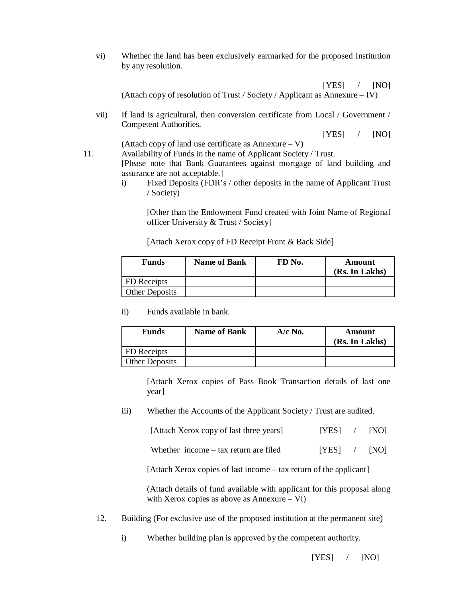vi) Whether the land has been exclusively earmarked for the proposed Institution by any resolution.

 [YES] / [NO] (Attach copy of resolution of Trust / Society / Applicant as Annexure – IV)

vii) If land is agricultural, then conversion certificate from Local / Government / Competent Authorities.

 $[YES]$  /  $[NO]$ 

(Attach copy of land use certificate as Annexure – V)

11. Availability of Funds in the name of Applicant Society / Trust. [Please note that Bank Guarantees against mortgage of land building and assurance are not acceptable.]

> i) Fixed Deposits (FDR's / other deposits in the name of Applicant Trust / Society)

[Other than the Endowment Fund created with Joint Name of Regional officer University & Trust / Society]

[Attach Xerox copy of FD Receipt Front & Back Side]

| <b>Funds</b>          | <b>Name of Bank</b> | FD No. | Amount<br>(Rs. In Lakhs) |
|-----------------------|---------------------|--------|--------------------------|
| FD Receipts           |                     |        |                          |
| <b>Other Deposits</b> |                     |        |                          |

ii) Funds available in bank.

| <b>Funds</b>          | <b>Name of Bank</b> | $A/c$ No. | Amount<br>(Rs. In Lakhs) |
|-----------------------|---------------------|-----------|--------------------------|
| FD Receipts           |                     |           |                          |
| <b>Other Deposits</b> |                     |           |                          |

[Attach Xerox copies of Pass Book Transaction details of last one year]

iii) Whether the Accounts of the Applicant Society / Trust are audited.

| [Attach Xerox copy of last three years] | [YES] | [NO] |
|-----------------------------------------|-------|------|
|-----------------------------------------|-------|------|

|  | Whether income $-$ tax return are filed | [YES] |  | [NO] |
|--|-----------------------------------------|-------|--|------|
|--|-----------------------------------------|-------|--|------|

[Attach Xerox copies of last income – tax return of the applicant]

(Attach details of fund available with applicant for this proposal along with Xerox copies as above as Annexure – VI)

12. Building (For exclusive use of the proposed institution at the permanent site)

i) Whether building plan is approved by the competent authority.

[YES] / [NO]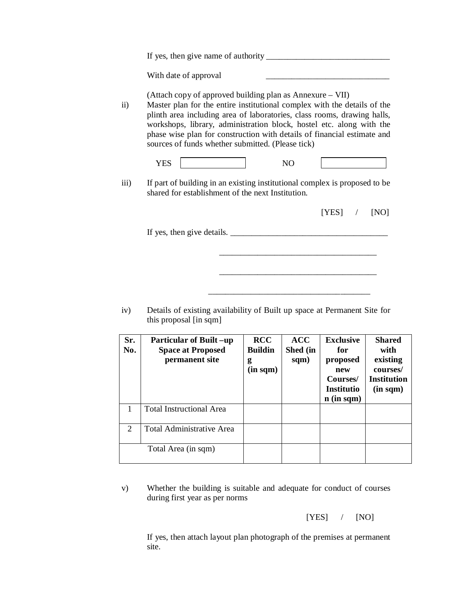|                  | With date of approval                                                                                                                                                                                                                                                                                                                                                                                                    |
|------------------|--------------------------------------------------------------------------------------------------------------------------------------------------------------------------------------------------------------------------------------------------------------------------------------------------------------------------------------------------------------------------------------------------------------------------|
| $\rm ii)$        | (Attach copy of approved building plan as Annexure – VII)<br>Master plan for the entire institutional complex with the details of the<br>plinth area including area of laboratories, class rooms, drawing halls,<br>workshops, library, administration block, hostel etc. along with the<br>phase wise plan for construction with details of financial estimate and<br>sources of funds whether submitted. (Please tick) |
|                  | <b>YES</b><br>N <sub>O</sub>                                                                                                                                                                                                                                                                                                                                                                                             |
| $\overline{iii}$ | If part of building in an existing institutional complex is proposed to be<br>shared for establishment of the next Institution.                                                                                                                                                                                                                                                                                          |
|                  | [YES]<br>[NO]<br>$\sqrt{2}$                                                                                                                                                                                                                                                                                                                                                                                              |
|                  |                                                                                                                                                                                                                                                                                                                                                                                                                          |
|                  |                                                                                                                                                                                                                                                                                                                                                                                                                          |
|                  |                                                                                                                                                                                                                                                                                                                                                                                                                          |
|                  |                                                                                                                                                                                                                                                                                                                                                                                                                          |
| iv)              | Details of existing availability of Built up space at Permanent Site for<br>this proposal [in sqm]                                                                                                                                                                                                                                                                                                                       |

| Sr.<br>No.                  | <b>Particular of Built-up</b><br><b>Space at Proposed</b><br>permanent site | <b>RCC</b><br><b>Buildin</b><br>g<br>$(in\;sqm)$ | <b>ACC</b><br>Shed (in<br>sqm) | <b>Exclusive</b><br>for<br>proposed<br>new<br>Courses/<br><b>Institutio</b><br>$n$ (in sqm) | <b>Shared</b><br>with<br>existing<br>courses/<br><b>Institution</b><br>$(in\;sqm)$ |
|-----------------------------|-----------------------------------------------------------------------------|--------------------------------------------------|--------------------------------|---------------------------------------------------------------------------------------------|------------------------------------------------------------------------------------|
|                             | <b>Total Instructional Area</b>                                             |                                                  |                                |                                                                                             |                                                                                    |
| $\mathcal{D}_{\mathcal{L}}$ | <b>Total Administrative Area</b>                                            |                                                  |                                |                                                                                             |                                                                                    |
|                             | Total Area (in sqm)                                                         |                                                  |                                |                                                                                             |                                                                                    |

v) Whether the building is suitable and adequate for conduct of courses during first year as per norms

[YES] / [NO]

If yes, then attach layout plan photograph of the premises at permanent site.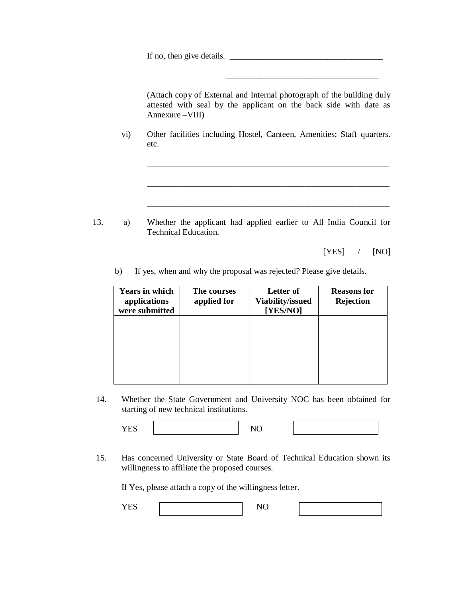If no, then give details.  $\frac{1}{\frac{1}{2} \sum_{i=1}^{n} (x_i - x_i)^2 + (y_i - y_i)^2}$ 

(Attach copy of External and Internal photograph of the building duly attested with seal by the applicant on the back side with date as Annexure –VIII)

\_\_\_\_\_\_\_\_\_\_\_\_\_\_\_\_\_\_\_\_\_\_\_\_\_\_\_\_\_\_\_\_\_\_\_\_\_\_\_\_\_\_\_\_\_\_\_\_\_\_\_\_\_\_\_\_\_

\_\_\_\_\_\_\_\_\_\_\_\_\_\_\_\_\_\_\_\_\_\_\_\_\_\_\_\_\_\_\_\_\_\_\_\_\_\_\_\_\_\_\_\_\_\_\_\_\_\_\_\_\_\_\_\_\_

\_\_\_\_\_\_\_\_\_\_\_\_\_\_\_\_\_\_\_\_\_\_\_\_\_\_\_\_\_\_\_\_\_\_\_\_\_\_\_\_\_\_\_\_\_\_\_\_\_\_\_\_\_\_\_\_\_

\_\_\_\_\_\_\_\_\_\_\_\_\_\_\_\_\_\_\_\_\_\_\_\_\_\_\_\_\_\_\_\_\_\_\_\_

vi) Other facilities including Hostel, Canteen, Amenities; Staff quarters. etc.

13. a) Whether the applicant had applied earlier to All India Council for Technical Education.

[YES] / [NO]

b) If yes, when and why the proposal was rejected? Please give details.

| <b>Years in which</b><br>applications<br>were submitted | The courses<br>applied for | Letter of<br><b>Viability/issued</b><br>[YES/NO] | <b>Reasons</b> for<br>Rejection |
|---------------------------------------------------------|----------------------------|--------------------------------------------------|---------------------------------|
|                                                         |                            |                                                  |                                 |
|                                                         |                            |                                                  |                                 |
|                                                         |                            |                                                  |                                 |

14. Whether the State Government and University NOC has been obtained for starting of new technical institutions.

YES NO

15. Has concerned University or State Board of Technical Education shown its willingness to affiliate the proposed courses.

If Yes, please attach a copy of the willingness letter.

| - - |  |  |
|-----|--|--|
|     |  |  |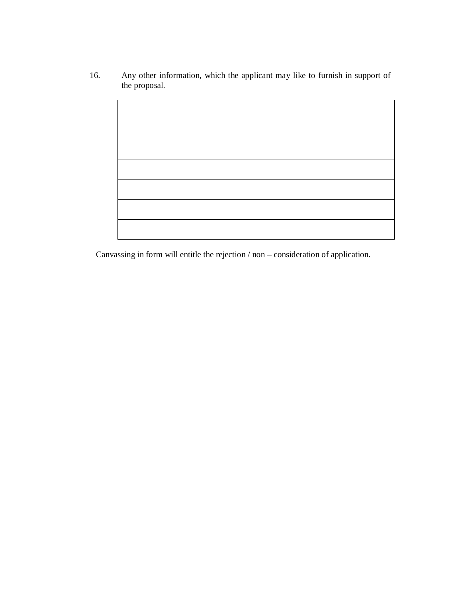16. Any other information, which the applicant may like to furnish in support of the proposal.

Canvassing in form will entitle the rejection / non – consideration of application.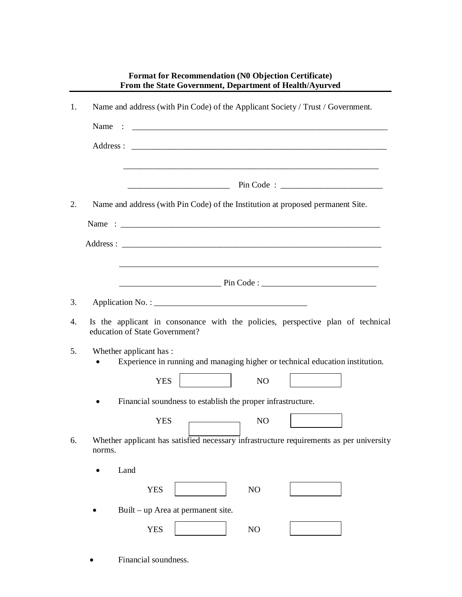|    | <b>Format for Recommendation (N0 Objection Certificate)</b><br>From the State Government, Department of Health/Ayurved |
|----|------------------------------------------------------------------------------------------------------------------------|
| 1. | Name and address (with Pin Code) of the Applicant Society / Trust / Government.                                        |
|    | Name                                                                                                                   |
|    |                                                                                                                        |
|    | <u> 1989 - Johann Stoff, deutscher Stoff, der Stoff, der Stoff, der Stoff, der Stoff, der Stoff, der Stoff, der S</u>  |
| 2. | Name and address (with Pin Code) of the Institution at proposed permanent Site.                                        |
|    |                                                                                                                        |
|    |                                                                                                                        |
|    | <u> 1980 - Jan Barat, margaret amerikan basa dan berasal dan berasal dalam berasal dalam berasal dalam berasal da</u>  |
|    |                                                                                                                        |
| 3. |                                                                                                                        |
| 4. | Is the applicant in consonance with the policies, perspective plan of technical<br>education of State Government?      |
| 5. | Whether applicant has :<br>Experience in running and managing higher or technical education institution.               |
|    | <b>YES</b><br>N <sub>O</sub>                                                                                           |
|    | Financial soundness to establish the proper infrastructure.                                                            |
|    | <b>YES</b><br>NO                                                                                                       |
| 6. | Whether applicant has satisfied necessary infrastructure requirements as per university<br>norms.                      |
|    | Land                                                                                                                   |
|    | NO<br><b>YES</b>                                                                                                       |
|    | Built – up Area at permanent site.                                                                                     |
|    | <b>YES</b><br>NO                                                                                                       |
|    |                                                                                                                        |

Financial soundness.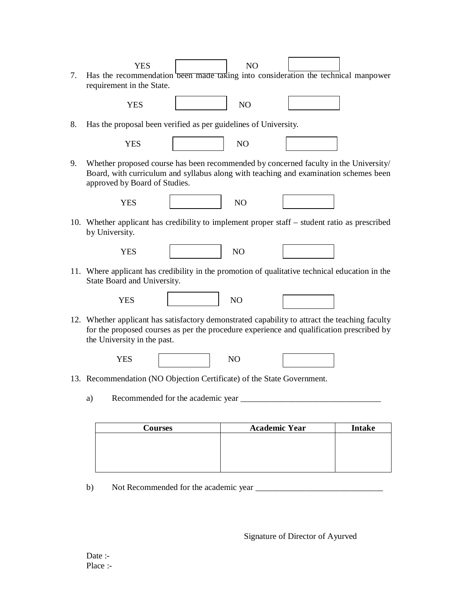| 7. |    | <b>YES</b><br>Has the recommendation been made taking into consideration the technical manpower<br>requirement in the State.                                                                                              | N <sub>O</sub>       |               |
|----|----|---------------------------------------------------------------------------------------------------------------------------------------------------------------------------------------------------------------------------|----------------------|---------------|
|    |    | <b>YES</b>                                                                                                                                                                                                                | NO                   |               |
| 8. |    | Has the proposal been verified as per guidelines of University.                                                                                                                                                           |                      |               |
|    |    | <b>YES</b>                                                                                                                                                                                                                | N <sub>O</sub>       |               |
| 9. |    | Whether proposed course has been recommended by concerned faculty in the University/<br>Board, with curriculum and syllabus along with teaching and examination schemes been<br>approved by Board of Studies.             |                      |               |
|    |    | <b>YES</b>                                                                                                                                                                                                                | NO                   |               |
|    |    | 10. Whether applicant has credibility to implement proper staff – student ratio as prescribed<br>by University.                                                                                                           |                      |               |
|    |    | <b>YES</b>                                                                                                                                                                                                                | NO                   |               |
|    |    | 11. Where applicant has credibility in the promotion of qualitative technical education in the<br>State Board and University.                                                                                             |                      |               |
|    |    | <b>YES</b>                                                                                                                                                                                                                | NO                   |               |
|    |    | 12. Whether applicant has satisfactory demonstrated capability to attract the teaching faculty<br>for the proposed courses as per the procedure experience and qualification prescribed by<br>the University in the past. |                      |               |
|    |    | <b>YES</b>                                                                                                                                                                                                                | N <sub>O</sub>       |               |
|    |    | 13. Recommendation (NO Objection Certificate) of the State Government.                                                                                                                                                    |                      |               |
|    | a) | Recommended for the academic year ______                                                                                                                                                                                  |                      |               |
|    |    |                                                                                                                                                                                                                           | <b>Academic Year</b> | <b>Intake</b> |
|    |    | <b>Courses</b>                                                                                                                                                                                                            |                      |               |

b) Not Recommended for the academic year \_\_\_\_\_\_\_\_\_\_\_\_\_\_\_\_\_\_\_\_\_\_\_\_\_\_\_\_\_\_

Signature of Director of Ayurved